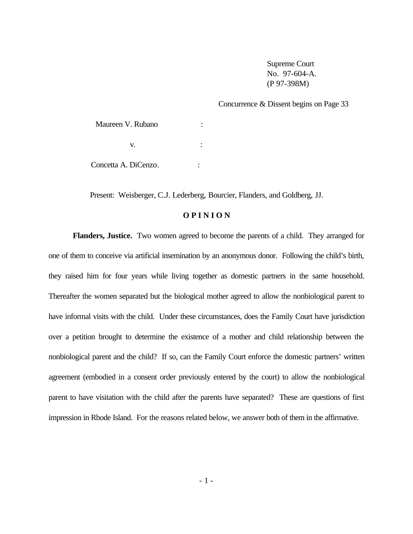Supreme Court No. 97-604-A. (P 97-398M)

Concurrence & Dissent begins on Page 33

Maureen V. Rubano :  $\mathbf{v}$ .  $\mathbf{v}$ .  $\mathbf{v}$ . Concetta A. DiCenzo. : :

Present: Weisberger, C.J. Lederberg, Bourcier, Flanders, and Goldberg, JJ.

# **O P I N I O N**

**Flanders, Justice.** Two women agreed to become the parents of a child. They arranged for one of them to conceive via artificial insemination by an anonymous donor. Following the child's birth, they raised him for four years while living together as domestic partners in the same household. Thereafter the women separated but the biological mother agreed to allow the nonbiological parent to have informal visits with the child. Under these circumstances, does the Family Court have jurisdiction over a petition brought to determine the existence of a mother and child relationship between the nonbiological parent and the child? If so, can the Family Court enforce the domestic partners' written agreement (embodied in a consent order previously entered by the court) to allow the nonbiological parent to have visitation with the child after the parents have separated? These are questions of first impression in Rhode Island. For the reasons related below, we answer both of them in the affirmative.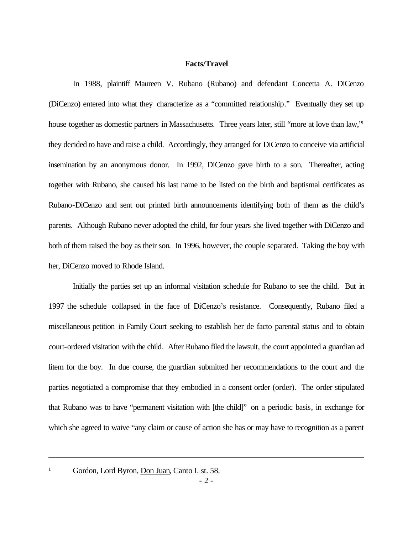# **Facts/Travel**

In 1988, plaintiff Maureen V. Rubano (Rubano) and defendant Concetta A. DiCenzo (DiCenzo) entered into what they characterize as a "committed relationship." Eventually they set up house together as domestic partners in Massachusetts. Three years later, still "more at love than law," they decided to have and raise a child. Accordingly, they arranged for DiCenzo to conceive via artificial insemination by an anonymous donor. In 1992, DiCenzo gave birth to a son. Thereafter, acting together with Rubano, she caused his last name to be listed on the birth and baptismal certificates as Rubano-DiCenzo and sent out printed birth announcements identifying both of them as the child's parents. Although Rubano never adopted the child, for four years she lived together with DiCenzo and both of them raised the boy as their son. In 1996, however, the couple separated. Taking the boy with her, DiCenzo moved to Rhode Island.

Initially the parties set up an informal visitation schedule for Rubano to see the child. But in 1997 the schedule collapsed in the face of DiCenzo's resistance. Consequently, Rubano filed a miscellaneous petition in Family Court seeking to establish her de facto parental status and to obtain court-ordered visitation with the child. After Rubano filed the lawsuit, the court appointed a guardian ad litem for the boy. In due course, the guardian submitted her recommendations to the court and the parties negotiated a compromise that they embodied in a consent order (order). The order stipulated that Rubano was to have "permanent visitation with [the child]" on a periodic basis, in exchange for which she agreed to waive "any claim or cause of action she has or may have to recognition as a parent

Gordon, Lord Byron, Don Juan, Canto I. st. 58.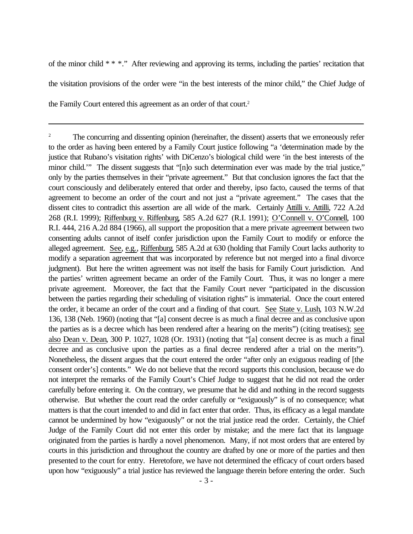of the minor child \* \* \*." After reviewing and approving its terms, including the parties' recitation that the visitation provisions of the order were "in the best interests of the minor child," the Chief Judge of the Family Court entered this agreement as an order of that court.<sup>2</sup>

<sup>&</sup>lt;sup>2</sup> The concurring and dissenting opinion (hereinafter, the dissent) asserts that we erroneously refer to the order as having been entered by a Family Court justice following "a 'determination made by the justice that Rubano's visitation rights' with DiCenzo's biological child were 'in the best interests of the minor child." The dissent suggests that "[n]o such determination ever was made by the trial justice," only by the parties themselves in their "private agreement." But that conclusion ignores the fact that the court consciously and deliberately entered that order and thereby, ipso facto, caused the terms of that agreement to become an order of the court and not just a "private agreement." The cases that the dissent cites to contradict this assertion are all wide of the mark. Certainly Attilli v. Attilli, 722 A.2d 268 (R.I. 1999); Riffenburg v. Riffenburg, 585 A.2d 627 (R.I. 1991); O'Connell v. O'Connell, 100 R.I. 444, 216 A.2d 884 (1966), all support the proposition that a mere private agreement between two consenting adults cannot of itself confer jurisdiction upon the Family Court to modify or enforce the alleged agreement. See, e.g., Riffenburg, 585 A.2d at 630 (holding that Family Court lacks authority to modify a separation agreement that was incorporated by reference but not merged into a final divorce judgment). But here the written agreement was not itself the basis for Family Court jurisdiction. And the parties' written agreement became an order of the Family Court. Thus, it was no longer a mere private agreement. Moreover, the fact that the Family Court never "participated in the discussion between the parties regarding their scheduling of visitation rights" is immaterial. Once the court entered the order, it became an order of the court and a finding of that court. See State v. Lush, 103 N.W.2d 136, 138 (Neb. 1960) (noting that "[a] consent decree is as much a final decree and as conclusive upon the parties as is a decree which has been rendered after a hearing on the merits") (citing treatises); see also Dean v. Dean, 300 P. 1027, 1028 (Or. 1931) (noting that "[a] consent decree is as much a final decree and as conclusive upon the parties as a final decree rendered after a trial on the merits"). Nonetheless, the dissent argues that the court entered the order "after only an exiguous reading of [the consent order's] contents." We do not believe that the record supports this conclusion, because we do not interpret the remarks of the Family Court's Chief Judge to suggest that he did not read the order carefully before entering it. On the contrary, we presume that he did and nothing in the record suggests otherwise. But whether the court read the order carefully or "exiguously" is of no consequence; what matters is that the court intended to and did in fact enter that order. Thus, its efficacy as a legal mandate cannot be undermined by how "exiguously" or not the trial justice read the order. Certainly, the Chief Judge of the Family Court did not enter this order by mistake; and the mere fact that its language originated from the parties is hardly a novel phenomenon. Many, if not most orders that are entered by courts in this jurisdiction and throughout the country are drafted by one or more of the parties and then presented to the court for entry. Heretofore, we have not determined the efficacy of court orders based upon how "exiguously" a trial justice has reviewed the language therein before entering the order. Such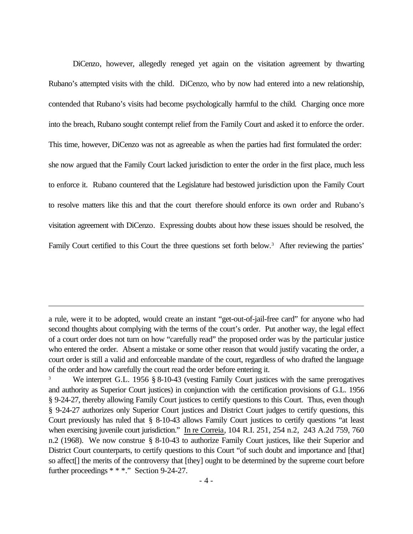DiCenzo, however, allegedly reneged yet again on the visitation agreement by thwarting Rubano's attempted visits with the child. DiCenzo, who by now had entered into a new relationship, contended that Rubano's visits had become psychologically harmful to the child. Charging once more into the breach, Rubano sought contempt relief from the Family Court and asked it to enforce the order. This time, however, DiCenzo was not as agreeable as when the parties had first formulated the order: she now argued that the Family Court lacked jurisdiction to enter the order in the first place, much less to enforce it. Rubano countered that the Legislature had bestowed jurisdiction upon the Family Court to resolve matters like this and that the court therefore should enforce its own order and Rubano's visitation agreement with DiCenzo. Expressing doubts about how these issues should be resolved, the Family Court certified to this Court the three questions set forth below.<sup>3</sup> After reviewing the parties'

a rule, were it to be adopted, would create an instant "get-out-of-jail-free card" for anyone who had second thoughts about complying with the terms of the court's order. Put another way, the legal effect of a court order does not turn on how "carefully read" the proposed order was by the particular justice who entered the order. Absent a mistake or some other reason that would justify vacating the order, a court order is still a valid and enforceable mandate of the court, regardless of who drafted the language of the order and how carefully the court read the order before entering it.

We interpret G.L. 1956 § 8-10-43 (vesting Family Court justices with the same prerogatives and authority as Superior Court justices) in conjunction with the certification provisions of G.L. 1956 § 9-24-27, thereby allowing Family Court justices to certify questions to this Court. Thus, even though § 9-24-27 authorizes only Superior Court justices and District Court judges to certify questions, this Court previously has ruled that § 8-10-43 allows Family Court justices to certify questions "at least when exercising juvenile court jurisdiction." In re Correia, 104 R.I. 251, 254 n.2, 243 A.2d 759, 760 n.2 (1968). We now construe § 8-10-43 to authorize Family Court justices, like their Superior and District Court counterparts, to certify questions to this Court "of such doubt and importance and [that] so affect[] the merits of the controversy that [they] ought to be determined by the supreme court before further proceedings \* \* \*." Section 9-24-27.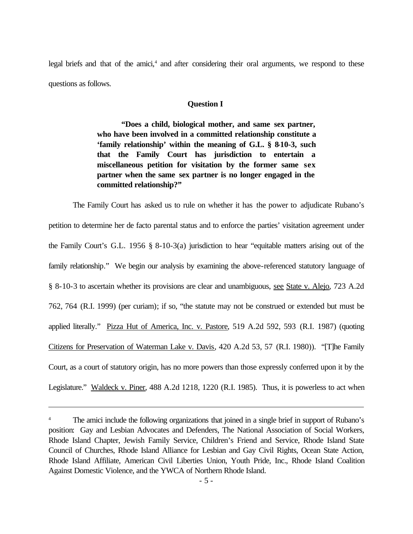legal briefs and that of the amici,<sup>4</sup> and after considering their oral arguments, we respond to these questions as follows.

# **Question I**

**"Does a child, biological mother, and same sex partner, who have been involved in a committed relationship constitute a 'family relationship' within the meaning of G.L. § 8-10-3, such that the Family Court has jurisdiction to entertain a miscellaneous petition for visitation by the former same sex partner when the same sex partner is no longer engaged in the committed relationship?"**

The Family Court has asked us to rule on whether it has the power to adjudicate Rubano's petition to determine her de facto parental status and to enforce the parties' visitation agreement under the Family Court's G.L. 1956 § 8-10-3(a) jurisdiction to hear "equitable matters arising out of the family relationship." We begin our analysis by examining the above-referenced statutory language of § 8-10-3 to ascertain whether its provisions are clear and unambiguous, see State v. Alejo, 723 A.2d 762, 764 (R.I. 1999) (per curiam); if so, "the statute may not be construed or extended but must be applied literally." Pizza Hut of America, Inc. v. Pastore, 519 A.2d 592, 593 (R.I. 1987) (quoting Citizens for Preservation of Waterman Lake v. Davis, 420 A.2d 53, 57 (R.I. 1980)). "[T]he Family Court, as a court of statutory origin, has no more powers than those expressly conferred upon it by the Legislature." Waldeck v. Piner, 488 A.2d 1218, 1220 (R.I. 1985). Thus, it is powerless to act when

<sup>&</sup>lt;sup>4</sup> The amici include the following organizations that joined in a single brief in support of Rubano's position: Gay and Lesbian Advocates and Defenders, The National Association of Social Workers, Rhode Island Chapter, Jewish Family Service, Children's Friend and Service, Rhode Island State Council of Churches, Rhode Island Alliance for Lesbian and Gay Civil Rights, Ocean State Action, Rhode Island Affiliate, American Civil Liberties Union, Youth Pride, Inc., Rhode Island Coalition Against Domestic Violence, and the YWCA of Northern Rhode Island.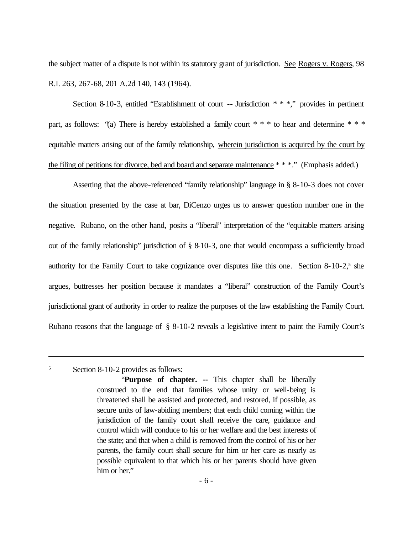the subject matter of a dispute is not within its statutory grant of jurisdiction. See Rogers v. Rogers, 98 R.I. 263, 267-68, 201 A.2d 140, 143 (1964).

Section 8-10-3, entitled "Establishment of court -- Jurisdiction \* \* \*," provides in pertinent part, as follows: "(a) There is hereby established a family court  $* * *$  to hear and determine  $* * *$ equitable matters arising out of the family relationship, wherein jurisdiction is acquired by the court by the filing of petitions for divorce, bed and board and separate maintenance \* \* \*." (Emphasis added.)

Asserting that the above-referenced "family relationship" language in § 8-10-3 does not cover the situation presented by the case at bar, DiCenzo urges us to answer question number one in the negative. Rubano, on the other hand, posits a "liberal" interpretation of the "equitable matters arising out of the family relationship" jurisdiction of § 8-10-3, one that would encompass a sufficiently broad authority for the Family Court to take cognizance over disputes like this one. Section 8-10-2,<sup>5</sup> she argues, buttresses her position because it mandates a "liberal" construction of the Family Court's jurisdictional grant of authority in order to realize the purposes of the law establishing the Family Court. Rubano reasons that the language of § 8-10-2 reveals a legislative intent to paint the Family Court's

#### <sup>5</sup> Section 8-10-2 provides as follows:

<sup>&</sup>quot;**Purpose of chapter. --** This chapter shall be liberally construed to the end that families whose unity or well-being is threatened shall be assisted and protected, and restored, if possible, as secure units of law-abiding members; that each child coming within the jurisdiction of the family court shall receive the care, guidance and control which will conduce to his or her welfare and the best interests of the state; and that when a child is removed from the control of his or her parents, the family court shall secure for him or her care as nearly as possible equivalent to that which his or her parents should have given him or her."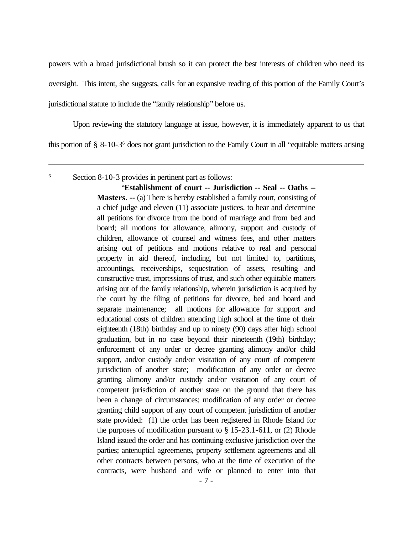powers with a broad jurisdictional brush so it can protect the best interests of children who need its

oversight. This intent, she suggests, calls for an expansive reading of this portion of the Family Court's

jurisdictional statute to include the "family relationship" before us.

Upon reviewing the statutory language at issue, however, it is immediately apparent to us that

this portion of § 8-10-3 6 does not grant jurisdiction to the Family Court in all "equitable matters arising

<sup>6</sup> Section 8-10-3 provides in pertinent part as follows:

"**Establishment of court -- Jurisdiction -- Seal -- Oaths -- Masters. --** (a) There is hereby established a family court, consisting of a chief judge and eleven (11) associate justices, to hear and determine all petitions for divorce from the bond of marriage and from bed and board; all motions for allowance, alimony, support and custody of children, allowance of counsel and witness fees, and other matters arising out of petitions and motions relative to real and personal property in aid thereof, including, but not limited to, partitions, accountings, receiverships, sequestration of assets, resulting and constructive trust, impressions of trust, and such other equitable matters arising out of the family relationship, wherein jurisdiction is acquired by the court by the filing of petitions for divorce, bed and board and separate maintenance; all motions for allowance for support and educational costs of children attending high school at the time of their eighteenth (18th) birthday and up to ninety (90) days after high school graduation, but in no case beyond their nineteenth (19th) birthday; enforcement of any order or decree granting alimony and/or child support, and/or custody and/or visitation of any court of competent jurisdiction of another state; modification of any order or decree granting alimony and/or custody and/or visitation of any court of competent jurisdiction of another state on the ground that there has been a change of circumstances; modification of any order or decree granting child support of any court of competent jurisdiction of another state provided: (1) the order has been registered in Rhode Island for the purposes of modification pursuant to  $\S$  15-23.1-611, or (2) Rhode Island issued the order and has continuing exclusive jurisdiction over the parties; antenuptial agreements, property settlement agreements and all other contracts between persons, who at the time of execution of the contracts, were husband and wife or planned to enter into that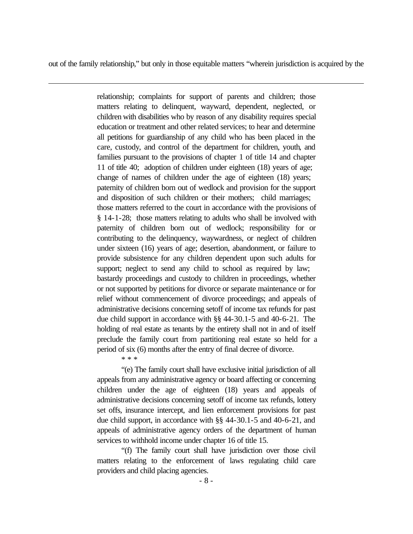out of the family relationship," but only in those equitable matters "wherein jurisdiction is acquired by the

relationship; complaints for support of parents and children; those matters relating to delinquent, wayward, dependent, neglected, or children with disabilities who by reason of any disability requires special education or treatment and other related services; to hear and determine all petitions for guardianship of any child who has been placed in the care, custody, and control of the department for children, youth, and families pursuant to the provisions of chapter 1 of title 14 and chapter 11 of title 40; adoption of children under eighteen (18) years of age; change of names of children under the age of eighteen (18) years; paternity of children born out of wedlock and provision for the support and disposition of such children or their mothers; child marriages; those matters referred to the court in accordance with the provisions of § 14-1-28; those matters relating to adults who shall be involved with paternity of children born out of wedlock; responsibility for or contributing to the delinquency, waywardness, or neglect of children under sixteen (16) years of age; desertion, abandonment, or failure to provide subsistence for any children dependent upon such adults for support; neglect to send any child to school as required by law; bastardy proceedings and custody to children in proceedings, whether or not supported by petitions for divorce or separate maintenance or for relief without commencement of divorce proceedings; and appeals of administrative decisions concerning setoff of income tax refunds for past due child support in accordance with §§ 44-30.1-5 and 40-6-21. The holding of real estate as tenants by the entirety shall not in and of itself preclude the family court from partitioning real estate so held for a period of six (6) months after the entry of final decree of divorce.

\* \* \*

"(e) The family court shall have exclusive initial jurisdiction of all appeals from any administrative agency or board affecting or concerning children under the age of eighteen (18) years and appeals of administrative decisions concerning setoff of income tax refunds, lottery set offs, insurance intercept, and lien enforcement provisions for past due child support, in accordance with §§ 44-30.1-5 and 40-6-21, and appeals of administrative agency orders of the department of human services to withhold income under chapter 16 of title 15.

"(f) The family court shall have jurisdiction over those civil matters relating to the enforcement of laws regulating child care providers and child placing agencies.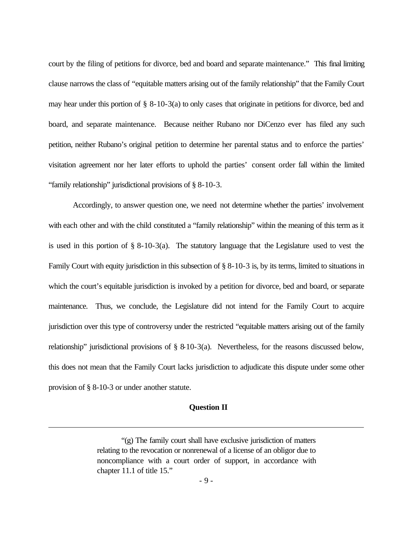court by the filing of petitions for divorce, bed and board and separate maintenance." This final limiting clause narrows the class of "equitable matters arising out of the family relationship" that the Family Court may hear under this portion of § 8-10-3(a) to only cases that originate in petitions for divorce, bed and board, and separate maintenance. Because neither Rubano nor DiCenzo ever has filed any such petition, neither Rubano's original petition to determine her parental status and to enforce the parties' visitation agreement nor her later efforts to uphold the parties' consent order fall within the limited "family relationship" jurisdictional provisions of § 8-10-3.

Accordingly, to answer question one, we need not determine whether the parties' involvement with each other and with the child constituted a "family relationship" within the meaning of this term as it is used in this portion of § 8-10-3(a). The statutory language that the Legislature used to vest the Family Court with equity jurisdiction in this subsection of § 8-10-3 is, by its terms, limited to situations in which the court's equitable jurisdiction is invoked by a petition for divorce, bed and board, or separate maintenance. Thus, we conclude, the Legislature did not intend for the Family Court to acquire jurisdiction over this type of controversy under the restricted "equitable matters arising out of the family relationship" jurisdictional provisions of § 8-10-3(a). Nevertheless, for the reasons discussed below, this does not mean that the Family Court lacks jurisdiction to adjudicate this dispute under some other provision of § 8-10-3 or under another statute.

#### **Question II**

<sup>&</sup>quot;(g) The family court shall have exclusive jurisdiction of matters relating to the revocation or nonrenewal of a license of an obligor due to noncompliance with a court order of support, in accordance with chapter 11.1 of title 15."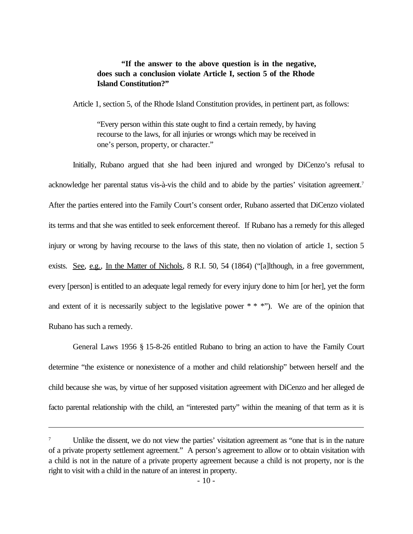# **"If the answer to the above question is in the negative, does such a conclusion violate Article I, section 5 of the Rhode Island Constitution?"**

Article 1, section 5, of the Rhode Island Constitution provides, in pertinent part, as follows:

"Every person within this state ought to find a certain remedy, by having recourse to the laws, for all injuries or wrongs which may be received in one's person, property, or character."

Initially, Rubano argued that she had been injured and wronged by DiCenzo's refusal to acknowledge her parental status vis-à-vis the child and to abide by the parties' visitation agreement.<sup>7</sup> After the parties entered into the Family Court's consent order, Rubano asserted that DiCenzo violated its terms and that she was entitled to seek enforcement thereof. If Rubano has a remedy for this alleged injury or wrong by having recourse to the laws of this state, then no violation of article 1, section 5 exists. See, e.g., In the Matter of Nichols, 8 R.I. 50, 54 (1864) ("[a]lthough, in a free government, every [person] is entitled to an adequate legal remedy for every injury done to him [or her], yet the form and extent of it is necessarily subject to the legislative power  $**$  \*"). We are of the opinion that Rubano has such a remedy.

General Laws 1956 § 15-8-26 entitled Rubano to bring an action to have the Family Court determine "the existence or nonexistence of a mother and child relationship" between herself and the child because she was, by virtue of her supposed visitation agreement with DiCenzo and her alleged de facto parental relationship with the child, an "interested party" within the meaning of that term as it is

Unlike the dissent, we do not view the parties' visitation agreement as "one that is in the nature of a private property settlement agreement." A person's agreement to allow or to obtain visitation with a child is not in the nature of a private property agreement because a child is not property, nor is the right to visit with a child in the nature of an interest in property.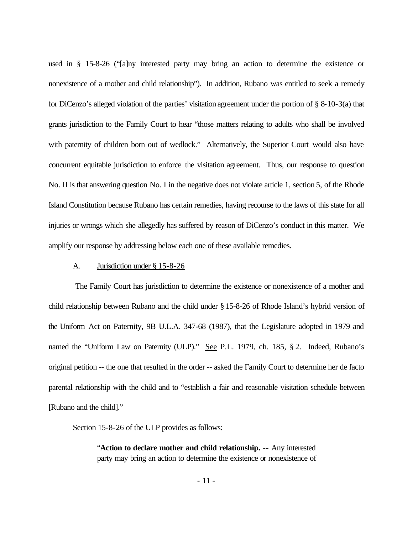used in § 15-8-26 ("[a]ny interested party may bring an action to determine the existence or nonexistence of a mother and child relationship"). In addition, Rubano was entitled to seek a remedy for DiCenzo's alleged violation of the parties' visitation agreement under the portion of § 8-10-3(a) that grants jurisdiction to the Family Court to hear "those matters relating to adults who shall be involved with paternity of children born out of wedlock." Alternatively, the Superior Court would also have concurrent equitable jurisdiction to enforce the visitation agreement. Thus, our response to question No. II is that answering question No. I in the negative does not violate article 1, section 5, of the Rhode Island Constitution because Rubano has certain remedies, having recourse to the laws of this state for all injuries or wrongs which she allegedly has suffered by reason of DiCenzo's conduct in this matter. We amplify our response by addressing below each one of these available remedies.

#### A. Jurisdiction under § 15-8-26

The Family Court has jurisdiction to determine the existence or nonexistence of a mother and child relationship between Rubano and the child under § 15-8-26 of Rhode Island's hybrid version of the Uniform Act on Paternity, 9B U.L.A. 347-68 (1987), that the Legislature adopted in 1979 and named the "Uniform Law on Paternity (ULP)." See P.L. 1979, ch. 185, § 2. Indeed, Rubano's original petition -- the one that resulted in the order -- asked the Family Court to determine her de facto parental relationship with the child and to "establish a fair and reasonable visitation schedule between [Rubano and the child]."

Section 15-8-26 of the ULP provides as follows:

"**Action to declare mother and child relationship.** -- Any interested party may bring an action to determine the existence or nonexistence of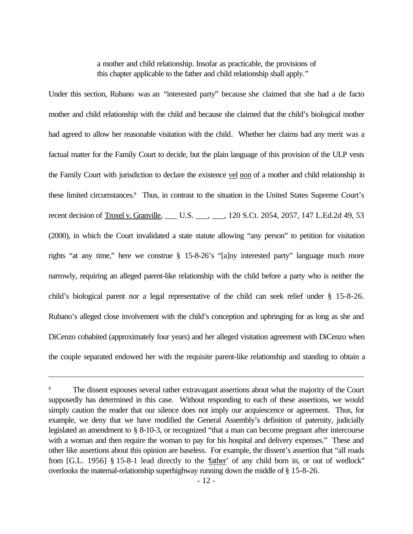a mother and child relationship. Insofar as practicable, the provisions of this chapter applicable to the father and child relationship shall apply."

Under this section, Rubano was an "interested party" because she claimed that she had a de facto mother and child relationship with the child and because she claimed that the child's biological mother had agreed to allow her reasonable visitation with the child. Whether her claims had any merit was a factual matter for the Family Court to decide, but the plain language of this provision of the ULP vests the Family Court with jurisdiction to declare the existence vel non of a mother and child relationship in these limited circumstances.<sup>8</sup> Thus, in contrast to the situation in the United States Supreme Court's recent decision of Troxel v. Granville, \_\_\_ U.S. \_\_\_, \_\_\_, 120 S.Ct. 2054, 2057, 147 L.Ed.2d 49, 53 (2000), in which the Court invalidated a state statute allowing "any person" to petition for visitation rights "at any time," here we construe § 15-8-26's "[a]ny interested party" language much more narrowly, requiring an alleged parent-like relationship with the child before a party who is neither the child's biological parent nor a legal representative of the child can seek relief under § 15-8-26. Rubano's alleged close involvement with the child's conception and upbringing for as long as she and DiCenzo cohabited (approximately four years) and her alleged visitation agreement with DiCenzo when the couple separated endowed her with the requisite parent-like relationship and standing to obtain a

<sup>8</sup> The dissent espouses several rather extravagant assertions about what the majority of the Court supposedly has determined in this case. Without responding to each of these assertions, we would simply caution the reader that our silence does not imply our acquiescence or agreement. Thus, for example, we deny that we have modified the General Assembly's definition of paternity, judicially legislated an amendment to § 8-10-3, or recognized "that a man can become pregnant after intercourse with a woman and then require the woman to pay for his hospital and delivery expenses." These and other like assertions about this opinion are baseless. For example, the dissent's assertion that "all roads from [G.L. 1956] § 15-8-1 lead directly to the 'father' of any child born in, or out of wedlock" overlooks the maternal-relationship superhighway running down the middle of § 15-8-26.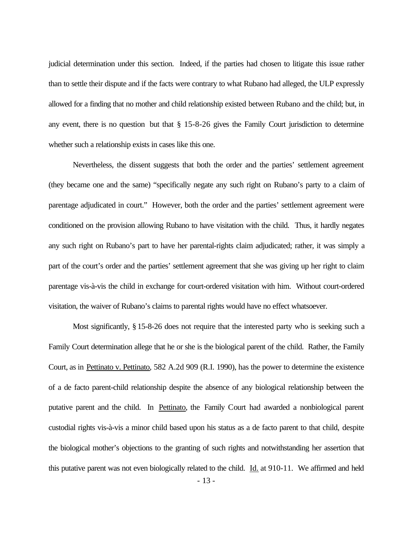judicial determination under this section. Indeed, if the parties had chosen to litigate this issue rather than to settle their dispute and if the facts were contrary to what Rubano had alleged, the ULP expressly allowed for a finding that no mother and child relationship existed between Rubano and the child; but, in any event, there is no question but that  $\S$  15-8-26 gives the Family Court jurisdiction to determine whether such a relationship exists in cases like this one.

Nevertheless, the dissent suggests that both the order and the parties' settlement agreement (they became one and the same) "specifically negate any such right on Rubano's party to a claim of parentage adjudicated in court." However, both the order and the parties' settlement agreement were conditioned on the provision allowing Rubano to have visitation with the child. Thus, it hardly negates any such right on Rubano's part to have her parental-rights claim adjudicated; rather, it was simply a part of the court's order and the parties' settlement agreement that she was giving up her right to claim parentage vis-à-vis the child in exchange for court-ordered visitation with him. Without court-ordered visitation, the waiver of Rubano's claims to parental rights would have no effect whatsoever.

Most significantly, § 15-8-26 does not require that the interested party who is seeking such a Family Court determination allege that he or she is the biological parent of the child. Rather, the Family Court, as in Pettinato v. Pettinato, 582 A.2d 909 (R.I. 1990), has the power to determine the existence of a de facto parent-child relationship despite the absence of any biological relationship between the putative parent and the child. In Pettinato, the Family Court had awarded a nonbiological parent custodial rights vis-à-vis a minor child based upon his status as a de facto parent to that child, despite the biological mother's objections to the granting of such rights and notwithstanding her assertion that this putative parent was not even biologically related to the child. Id. at 910-11. We affirmed and held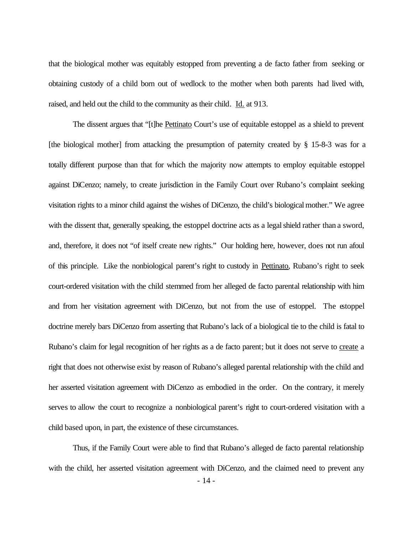that the biological mother was equitably estopped from preventing a de facto father from seeking or obtaining custody of a child born out of wedlock to the mother when both parents had lived with, raised, and held out the child to the community as their child. Id. at 913.

The dissent argues that "[t]he Pettinato Court's use of equitable estoppel as a shield to prevent [the biological mother] from attacking the presumption of paternity created by § 15-8-3 was for a totally different purpose than that for which the majority now attempts to employ equitable estoppel against DiCenzo; namely, to create jurisdiction in the Family Court over Rubano's complaint seeking visitation rights to a minor child against the wishes of DiCenzo, the child's biological mother." We agree with the dissent that, generally speaking, the estoppel doctrine acts as a legal shield rather than a sword, and, therefore, it does not "of itself create new rights." Our holding here, however, does not run afoul of this principle. Like the nonbiological parent's right to custody in Pettinato, Rubano's right to seek court-ordered visitation with the child stemmed from her alleged de facto parental relationship with him and from her visitation agreement with DiCenzo, but not from the use of estoppel. The estoppel doctrine merely bars DiCenzo from asserting that Rubano's lack of a biological tie to the child is fatal to Rubano's claim for legal recognition of her rights as a de facto parent; but it does not serve to create a right that does not otherwise exist by reason of Rubano's alleged parental relationship with the child and her asserted visitation agreement with DiCenzo as embodied in the order. On the contrary, it merely serves to allow the court to recognize a nonbiological parent's right to court-ordered visitation with a child based upon, in part, the existence of these circumstances.

Thus, if the Family Court were able to find that Rubano's alleged de facto parental relationship with the child, her asserted visitation agreement with DiCenzo, and the claimed need to prevent any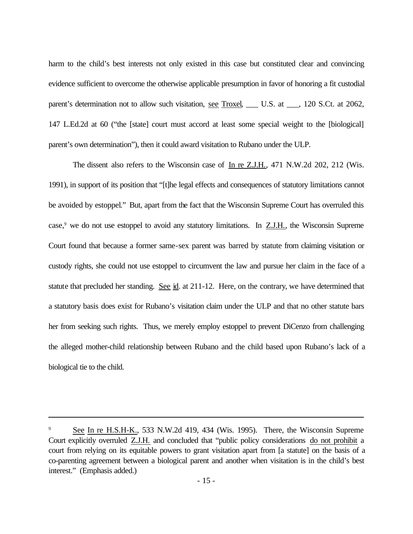harm to the child's best interests not only existed in this case but constituted clear and convincing evidence sufficient to overcome the otherwise applicable presumption in favor of honoring a fit custodial parent's determination not to allow such visitation, see Troxel, U.S. at , 120 S.Ct. at 2062, 147 L.Ed.2d at 60 ("the [state] court must accord at least some special weight to the [biological] parent's own determination"), then it could award visitation to Rubano under the ULP.

The dissent also refers to the Wisconsin case of In re Z.J.H., 471 N.W.2d 202, 212 (Wis. 1991), in support of its position that "[t]he legal effects and consequences of statutory limitations cannot be avoided by estoppel." But, apart from the fact that the Wisconsin Supreme Court has overruled this case,<sup>9</sup> we do not use estoppel to avoid any statutory limitations. In  $ZJ.H.$ , the Wisconsin Supreme Court found that because a former same-sex parent was barred by statute from claiming visitation or custody rights, she could not use estoppel to circumvent the law and pursue her claim in the face of a statute that precluded her standing. See id. at 211-12. Here, on the contrary, we have determined that a statutory basis does exist for Rubano's visitation claim under the ULP and that no other statute bars her from seeking such rights. Thus, we merely employ estoppel to prevent DiCenzo from challenging the alleged mother-child relationship between Rubano and the child based upon Rubano's lack of a biological tie to the child.

See In re H.S.H-K., 533 N.W.2d 419, 434 (Wis. 1995). There, the Wisconsin Supreme Court explicitly overruled Z.J.H. and concluded that "public policy considerations do not prohibit a court from relying on its equitable powers to grant visitation apart from [a statute] on the basis of a co-parenting agreement between a biological parent and another when visitation is in the child's best interest." (Emphasis added.)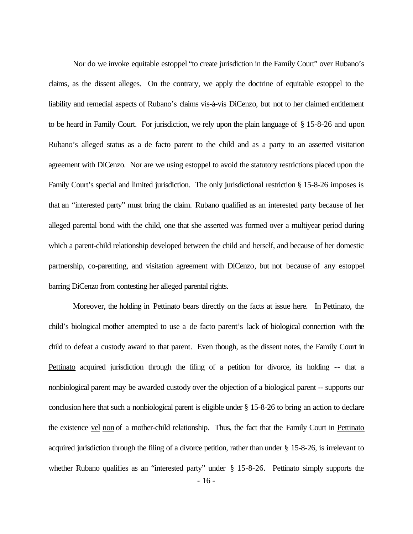Nor do we invoke equitable estoppel "to create jurisdiction in the Family Court" over Rubano's claims, as the dissent alleges. On the contrary, we apply the doctrine of equitable estoppel to the liability and remedial aspects of Rubano's claims vis-à-vis DiCenzo, but not to her claimed entitlement to be heard in Family Court. For jurisdiction, we rely upon the plain language of § 15-8-26 and upon Rubano's alleged status as a de facto parent to the child and as a party to an asserted visitation agreement with DiCenzo. Nor are we using estoppel to avoid the statutory restrictions placed upon the Family Court's special and limited jurisdiction. The only jurisdictional restriction § 15-8-26 imposes is that an "interested party" must bring the claim. Rubano qualified as an interested party because of her alleged parental bond with the child, one that she asserted was formed over a multiyear period during which a parent-child relationship developed between the child and herself, and because of her domestic partnership, co-parenting, and visitation agreement with DiCenzo, but not because of any estoppel barring DiCenzo from contesting her alleged parental rights.

Moreover, the holding in Pettinato bears directly on the facts at issue here. In Pettinato, the child's biological mother attempted to use a de facto parent's lack of biological connection with the child to defeat a custody award to that parent. Even though, as the dissent notes, the Family Court in Pettinato acquired jurisdiction through the filing of a petition for divorce, its holding -- that a nonbiological parent may be awarded custody over the objection of a biological parent -- supports our conclusion here that such a nonbiological parent is eligible under § 15-8-26 to bring an action to declare the existence vel non of a mother-child relationship. Thus, the fact that the Family Court in Pettinato acquired jurisdiction through the filing of a divorce petition, rather than under § 15-8-26, is irrelevant to whether Rubano qualifies as an "interested party" under § 15-8-26. Pettinato simply supports the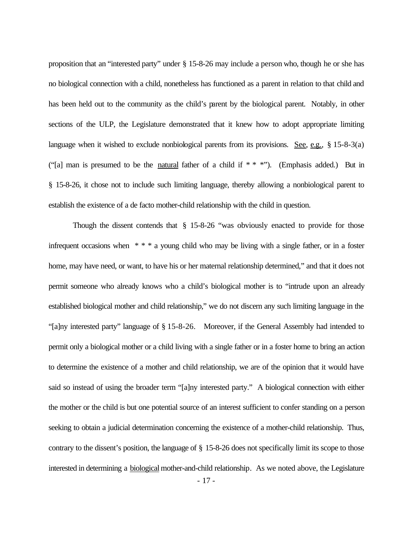proposition that an "interested party" under § 15-8-26 may include a person who, though he or she has no biological connection with a child, nonetheless has functioned as a parent in relation to that child and has been held out to the community as the child's parent by the biological parent. Notably, in other sections of the ULP, the Legislature demonstrated that it knew how to adopt appropriate limiting language when it wished to exclude nonbiological parents from its provisions. See, e.g.,  $\S 15-8-3(a)$ ("[a] man is presumed to be the natural father of a child if  $***$ "). (Emphasis added.) But in § 15-8-26, it chose not to include such limiting language, thereby allowing a nonbiological parent to establish the existence of a de facto mother-child relationship with the child in question.

Though the dissent contends that  $\S$  15-8-26 "was obviously enacted to provide for those infrequent occasions when \* \* \* a young child who may be living with a single father, or in a foster home, may have need, or want, to have his or her maternal relationship determined," and that it does not permit someone who already knows who a child's biological mother is to "intrude upon an already established biological mother and child relationship," we do not discern any such limiting language in the "[a]ny interested party" language of § 15-8-26. Moreover, if the General Assembly had intended to permit only a biological mother or a child living with a single father or in a foster home to bring an action to determine the existence of a mother and child relationship, we are of the opinion that it would have said so instead of using the broader term "[a]ny interested party." A biological connection with either the mother or the child is but one potential source of an interest sufficient to confer standing on a person seeking to obtain a judicial determination concerning the existence of a mother-child relationship. Thus, contrary to the dissent's position, the language of § 15-8-26 does not specifically limit its scope to those interested in determining a biological mother-and-child relationship. As we noted above, the Legislature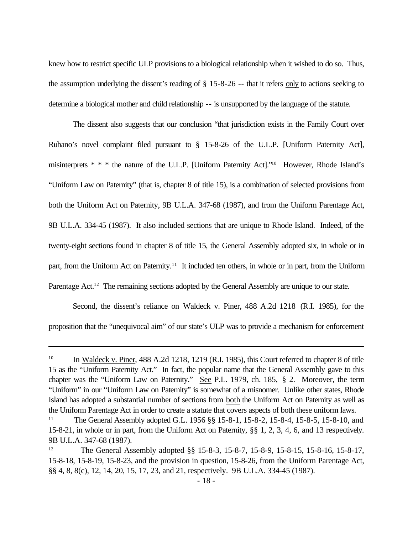knew how to restrict specific ULP provisions to a biological relationship when it wished to do so. Thus, the assumption underlying the dissent's reading of § 15-8-26 -- that it refers only to actions seeking to determine a biological mother and child relationship -- is unsupported by the language of the statute.

The dissent also suggests that our conclusion "that jurisdiction exists in the Family Court over Rubano's novel complaint filed pursuant to § 15-8-26 of the U.L.P. [Uniform Paternity Act], misinterprets \* \* \* the nature of the U.L.P. [Uniform Paternity Act]."10 However, Rhode Island's "Uniform Law on Paternity" (that is, chapter 8 of title 15), is a combination of selected provisions from both the Uniform Act on Paternity, 9B U.L.A. 347-68 (1987), and from the Uniform Parentage Act, 9B U.L.A. 334-45 (1987). It also included sections that are unique to Rhode Island. Indeed, of the twenty-eight sections found in chapter 8 of title 15, the General Assembly adopted six, in whole or in part, from the Uniform Act on Paternity.<sup>11</sup> It included ten others, in whole or in part, from the Uniform Parentage Act.<sup>12</sup> The remaining sections adopted by the General Assembly are unique to our state.

Second, the dissent's reliance on Waldeck v. Piner, 488 A.2d 1218 (R.I. 1985), for the proposition that the "unequivocal aim" of our state's ULP was to provide a mechanism for enforcement

<sup>&</sup>lt;sup>10</sup> In Waldeck v. Piner, 488 A.2d 1218, 1219 (R.I. 1985), this Court referred to chapter 8 of title 15 as the "Uniform Paternity Act." In fact, the popular name that the General Assembly gave to this chapter was the "Uniform Law on Paternity." See P.L. 1979, ch. 185, § 2. Moreover, the term "Uniform" in our "Uniform Law on Paternity" is somewhat of a misnomer. Unlike other states, Rhode Island has adopted a substantial number of sections from both the Uniform Act on Paternity as well as the Uniform Parentage Act in order to create a statute that covers aspects of both these uniform laws.

<sup>11</sup> The General Assembly adopted G.L. 1956 §§ 15-8-1, 15-8-2, 15-8-4, 15-8-5, 15-8-10, and 15-8-21, in whole or in part, from the Uniform Act on Paternity, §§ 1, 2, 3, 4, 6, and 13 respectively. 9B U.L.A. 347-68 (1987).

<sup>&</sup>lt;sup>12</sup> The General Assembly adopted §§ 15-8-3, 15-8-7, 15-8-9, 15-8-15, 15-8-16, 15-8-17, 15-8-18, 15-8-19, 15-8-23, and the provision in question, 15-8-26, from the Uniform Parentage Act, §§ 4, 8, 8(c), 12, 14, 20, 15, 17, 23, and 21, respectively. 9B U.L.A. 334-45 (1987).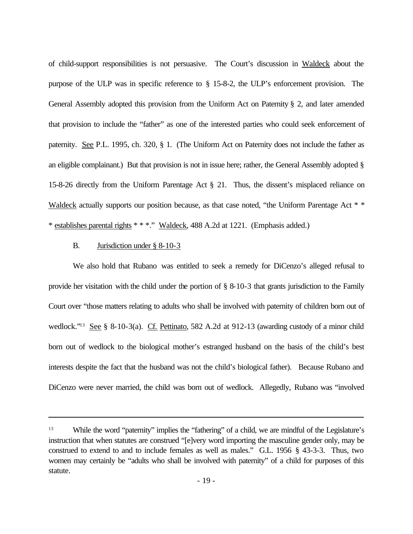of child-support responsibilities is not persuasive. The Court's discussion in Waldeck about the purpose of the ULP was in specific reference to § 15-8-2, the ULP's enforcement provision. The General Assembly adopted this provision from the Uniform Act on Paternity § 2, and later amended that provision to include the "father" as one of the interested parties who could seek enforcement of paternity. See P.L. 1995, ch. 320, § 1. (The Uniform Act on Paternity does not include the father as an eligible complainant.) But that provision is not in issue here; rather, the General Assembly adopted § 15-8-26 directly from the Uniform Parentage Act § 21. Thus, the dissent's misplaced reliance on Waldeck actually supports our position because, as that case noted, "the Uniform Parentage Act \* \* \* establishes parental rights \* \* \*." Waldeck, 488 A.2d at 1221. (Emphasis added.)

# B. Jurisdiction under § 8-10-3

We also hold that Rubano was entitled to seek a remedy for DiCenzo's alleged refusal to provide her visitation with the child under the portion of § 8-10-3 that grants jurisdiction to the Family Court over "those matters relating to adults who shall be involved with paternity of children born out of wedlock."<sup>13</sup> See § 8-10-3(a). Cf. Pettinato, 582 A.2d at 912-13 (awarding custody of a minor child born out of wedlock to the biological mother's estranged husband on the basis of the child's best interests despite the fact that the husband was not the child's biological father). Because Rubano and DiCenzo were never married, the child was born out of wedlock. Allegedly, Rubano was "involved

<sup>&</sup>lt;sup>13</sup> While the word "paternity" implies the "fathering" of a child, we are mindful of the Legislature's instruction that when statutes are construed "[e]very word importing the masculine gender only, may be construed to extend to and to include females as well as males." G.L. 1956 § 43-3-3. Thus, two women may certainly be "adults who shall be involved with paternity" of a child for purposes of this statute.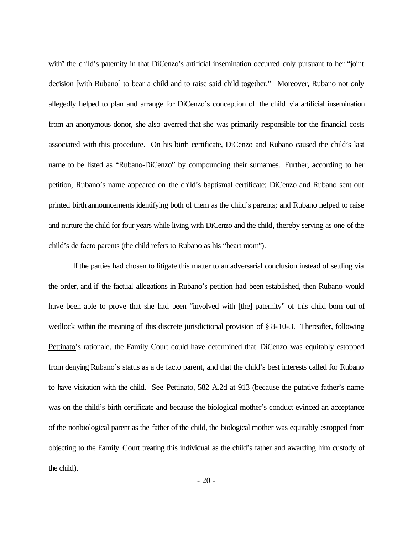with" the child's paternity in that DiCenzo's artificial insemination occurred only pursuant to her "joint" decision [with Rubano] to bear a child and to raise said child together." Moreover, Rubano not only allegedly helped to plan and arrange for DiCenzo's conception of the child via artificial insemination from an anonymous donor, she also averred that she was primarily responsible for the financial costs associated with this procedure. On his birth certificate, DiCenzo and Rubano caused the child's last name to be listed as "Rubano-DiCenzo" by compounding their surnames. Further, according to her petition, Rubano's name appeared on the child's baptismal certificate; DiCenzo and Rubano sent out printed birth announcements identifying both of them as the child's parents; and Rubano helped to raise and nurture the child for four years while living with DiCenzo and the child, thereby serving as one of the child's de facto parents (the child refers to Rubano as his "heart mom").

If the parties had chosen to litigate this matter to an adversarial conclusion instead of settling via the order, and if the factual allegations in Rubano's petition had been established, then Rubano would have been able to prove that she had been "involved with [the] paternity" of this child born out of wedlock within the meaning of this discrete jurisdictional provision of § 8-10-3. Thereafter, following Pettinato's rationale, the Family Court could have determined that DiCenzo was equitably estopped from denying Rubano's status as a de facto parent, and that the child's best interests called for Rubano to have visitation with the child. See Pettinato, 582 A.2d at 913 (because the putative father's name was on the child's birth certificate and because the biological mother's conduct evinced an acceptance of the nonbiological parent as the father of the child, the biological mother was equitably estopped from objecting to the Family Court treating this individual as the child's father and awarding him custody of the child).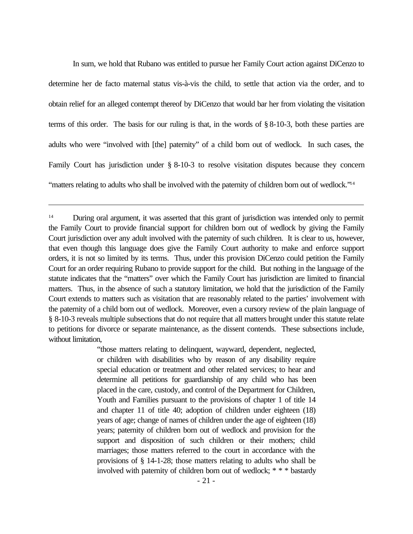In sum, we hold that Rubano was entitled to pursue her Family Court action against DiCenzo to determine her de facto maternal status vis-à-vis the child, to settle that action via the order, and to obtain relief for an alleged contempt thereof by DiCenzo that would bar her from violating the visitation terms of this order. The basis for our ruling is that, in the words of § 8-10-3, both these parties are adults who were "involved with [the] paternity" of a child born out of wedlock. In such cases, the Family Court has jurisdiction under § 8-10-3 to resolve visitation disputes because they concern "matters relating to adults who shall be involved with the paternity of children born out of wedlock."<sup>14</sup>

"those matters relating to delinquent, wayward, dependent, neglected, or children with disabilities who by reason of any disability require special education or treatment and other related services; to hear and determine all petitions for guardianship of any child who has been placed in the care, custody, and control of the Department for Children, Youth and Families pursuant to the provisions of chapter 1 of title 14 and chapter 11 of title 40; adoption of children under eighteen (18) years of age; change of names of children under the age of eighteen (18) years; paternity of children born out of wedlock and provision for the support and disposition of such children or their mothers; child marriages; those matters referred to the court in accordance with the provisions of § 14-1-28; those matters relating to adults who shall be involved with paternity of children born out of wedlock; \* \* \* bastardy

<sup>&</sup>lt;sup>14</sup> During oral argument, it was asserted that this grant of jurisdiction was intended only to permit the Family Court to provide financial support for children born out of wedlock by giving the Family Court jurisdiction over any adult involved with the paternity of such children. It is clear to us, however, that even though this language does give the Family Court authority to make and enforce support orders, it is not so limited by its terms. Thus, under this provision DiCenzo could petition the Family Court for an order requiring Rubano to provide support for the child. But nothing in the language of the statute indicates that the "matters" over which the Family Court has jurisdiction are limited to financial matters. Thus, in the absence of such a statutory limitation, we hold that the jurisdiction of the Family Court extends to matters such as visitation that are reasonably related to the parties' involvement with the paternity of a child born out of wedlock. Moreover, even a cursory review of the plain language of § 8-10-3 reveals multiple subsections that do not require that all matters brought under this statute relate to petitions for divorce or separate maintenance, as the dissent contends. These subsections include, without limitation,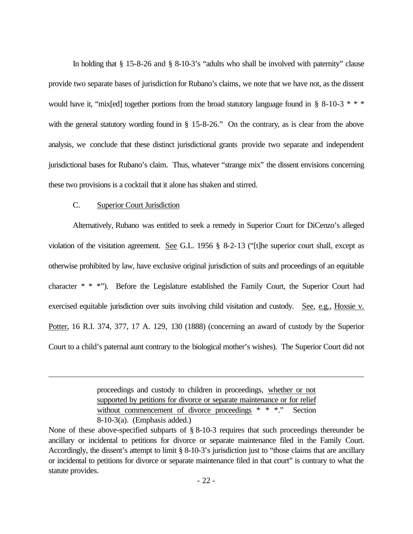In holding that § 15-8-26 and § 8-10-3's "adults who shall be involved with paternity" clause provide two separate bases of jurisdiction for Rubano's claims, we note that we have not, as the dissent would have it, "mix[ed] together portions from the broad statutory language found in § 8-10-3 \* \* \* with the general statutory wording found in § 15-8-26." On the contrary, as is clear from the above analysis, we conclude that these distinct jurisdictional grants provide two separate and independent jurisdictional bases for Rubano's claim. Thus, whatever "strange mix" the dissent envisions concerning these two provisions is a cocktail that it alone has shaken and stirred.

# C. Superior Court Jurisdiction

Alternatively, Rubano was entitled to seek a remedy in Superior Court for DiCenzo's alleged violation of the visitation agreement. See G.L. 1956  $\S$  8-2-13 ("[t]he superior court shall, except as otherwise prohibited by law, have exclusive original jurisdiction of suits and proceedings of an equitable character \* \* \*"). Before the Legislature established the Family Court, the Superior Court had exercised equitable jurisdiction over suits involving child visitation and custody. See, e.g., Hoxsie v. Potter, 16 R.I. 374, 377, 17 A. 129, 130 (1888) (concerning an award of custody by the Superior Court to a child's paternal aunt contrary to the biological mother's wishes). The Superior Court did not

> proceedings and custody to children in proceedings, whether or not supported by petitions for divorce or separate maintenance or for relief without commencement of divorce proceedings \* \* \*." Section 8-10-3(a). (Emphasis added.)

None of these above-specified subparts of § 8-10-3 requires that such proceedings thereunder be ancillary or incidental to petitions for divorce or separate maintenance filed in the Family Court. Accordingly, the dissent's attempt to limit § 8-10-3's jurisdiction just to "those claims that are ancillary or incidental to petitions for divorce or separate maintenance filed in that court" is contrary to what the statute provides.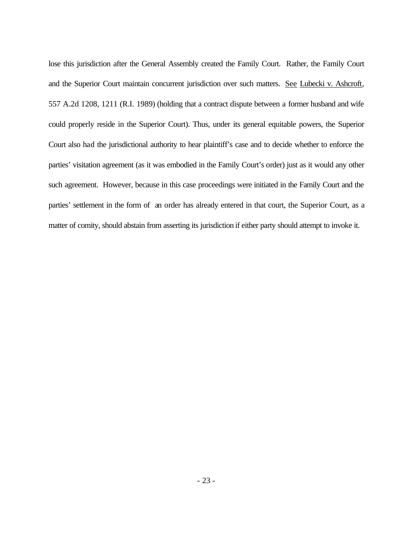lose this jurisdiction after the General Assembly created the Family Court. Rather, the Family Court and the Superior Court maintain concurrent jurisdiction over such matters. See Lubecki v. Ashcroft, 557 A.2d 1208, 1211 (R.I. 1989) (holding that a contract dispute between a former husband and wife could properly reside in the Superior Court). Thus, under its general equitable powers, the Superior Court also had the jurisdictional authority to hear plaintiff's case and to decide whether to enforce the parties' visitation agreement (as it was embodied in the Family Court's order) just as it would any other such agreement. However, because in this case proceedings were initiated in the Family Court and the parties' settlement in the form of an order has already entered in that court, the Superior Court, as a matter of comity, should abstain from asserting its jurisdiction if either party should attempt to invoke it.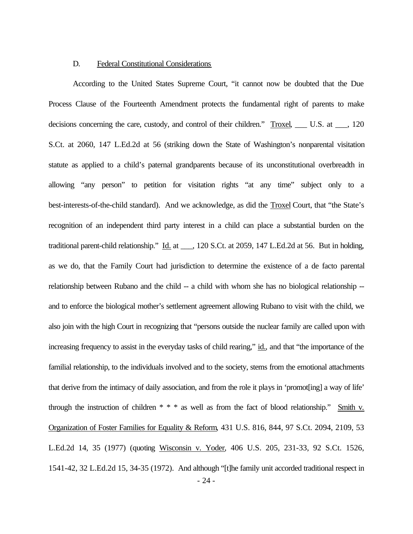#### D. Federal Constitutional Considerations

According to the United States Supreme Court, "it cannot now be doubted that the Due Process Clause of the Fourteenth Amendment protects the fundamental right of parents to make decisions concerning the care, custody, and control of their children." Troxel, \_\_\_ U.S. at \_\_\_, 120 S.Ct. at 2060, 147 L.Ed.2d at 56 (striking down the State of Washington's nonparental visitation statute as applied to a child's paternal grandparents because of its unconstitutional overbreadth in allowing "any person" to petition for visitation rights "at any time" subject only to a best-interests-of-the-child standard). And we acknowledge, as did the Troxel Court, that "the State's recognition of an independent third party interest in a child can place a substantial burden on the traditional parent-child relationship." Id. at \_\_\_, 120 S.Ct. at 2059, 147 L.Ed.2d at 56. But in holding, as we do, that the Family Court had jurisdiction to determine the existence of a de facto parental relationship between Rubano and the child -- a child with whom she has no biological relationship - and to enforce the biological mother's settlement agreement allowing Rubano to visit with the child, we also join with the high Court in recognizing that "persons outside the nuclear family are called upon with increasing frequency to assist in the everyday tasks of child rearing," id., and that "the importance of the familial relationship, to the individuals involved and to the society, stems from the emotional attachments that derive from the intimacy of daily association, and from the role it plays in 'promot[ing] a way of life' through the instruction of children  $* * *$  as well as from the fact of blood relationship." Smith v. Organization of Foster Families for Equality & Reform, 431 U.S. 816, 844, 97 S.Ct. 2094, 2109, 53 L.Ed.2d 14, 35 (1977) (quoting Wisconsin v. Yoder, 406 U.S. 205, 231-33, 92 S.Ct. 1526, 1541-42, 32 L.Ed.2d 15, 34-35 (1972). And although "[t]he family unit accorded traditional respect in - 24 -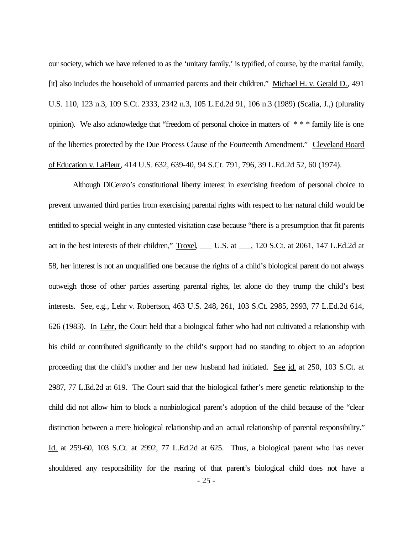our society, which we have referred to as the 'unitary family,' is typified, of course, by the marital family, [it] also includes the household of unmarried parents and their children." Michael H. v. Gerald D., 491 U.S. 110, 123 n.3, 109 S.Ct. 2333, 2342 n.3, 105 L.Ed.2d 91, 106 n.3 (1989) (Scalia, J.,) (plurality opinion). We also acknowledge that "freedom of personal choice in matters of \* \* \* family life is one of the liberties protected by the Due Process Clause of the Fourteenth Amendment." Cleveland Board of Education v. LaFleur, 414 U.S. 632, 639-40, 94 S.Ct. 791, 796, 39 L.Ed.2d 52, 60 (1974).

Although DiCenzo's constitutional liberty interest in exercising freedom of personal choice to prevent unwanted third parties from exercising parental rights with respect to her natural child would be entitled to special weight in any contested visitation case because "there is a presumption that fit parents act in the best interests of their children," Troxel, \_\_\_ U.S. at \_\_\_, 120 S.Ct. at 2061, 147 L.Ed.2d at 58, her interest is not an unqualified one because the rights of a child's biological parent do not always outweigh those of other parties asserting parental rights, let alone do they trump the child's best interests. See, e.g., Lehr v. Robertson, 463 U.S. 248, 261, 103 S.Ct. 2985, 2993, 77 L.Ed.2d 614, 626 (1983). In Lehr, the Court held that a biological father who had not cultivated a relationship with his child or contributed significantly to the child's support had no standing to object to an adoption proceeding that the child's mother and her new husband had initiated. See id. at 250, 103 S.Ct. at 2987, 77 L.Ed.2d at 619. The Court said that the biological father's mere genetic relationship to the child did not allow him to block a nonbiological parent's adoption of the child because of the "clear distinction between a mere biological relationship and an actual relationship of parental responsibility." Id. at 259-60, 103 S.Ct. at 2992, 77 L.Ed.2d at 625. Thus, a biological parent who has never shouldered any responsibility for the rearing of that parent's biological child does not have a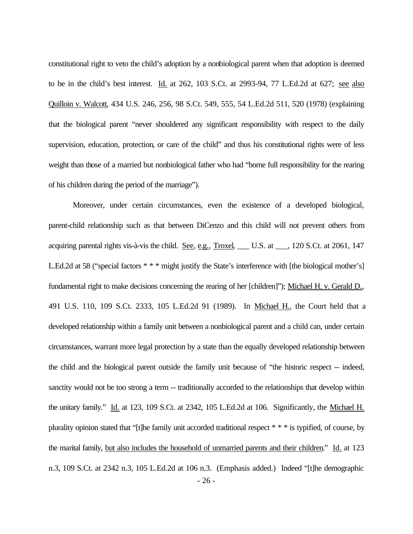constitutional right to veto the child's adoption by a nonbiological parent when that adoption is deemed to be in the child's best interest. Id. at 262, 103 S.Ct. at 2993-94, 77 L.Ed.2d at 627; see also Quilloin v. Walcott, 434 U.S. 246, 256, 98 S.Ct. 549, 555, 54 L.Ed.2d 511, 520 (1978) (explaining that the biological parent "never shouldered any significant responsibility with respect to the daily supervision, education, protection, or care of the child" and thus his constitutional rights were of less weight than those of a married but nonbiological father who had "borne full responsibility for the rearing of his children during the period of the marriage").

Moreover, under certain circumstances, even the existence of a developed biological, parent-child relationship such as that between DiCenzo and this child will not prevent others from acquiring parental rights vis-à-vis the child. See, e.g., Troxel, U.S. at 1, 120 S.Ct. at 2061, 147 L.Ed.2d at 58 ("special factors \* \* \* might justify the State's interference with [the biological mother's] fundamental right to make decisions concerning the rearing of her [children]"); Michael H. v. Gerald D., 491 U.S. 110, 109 S.Ct. 2333, 105 L.Ed.2d 91 (1989). In Michael H., the Court held that a developed relationship within a family unit between a nonbiological parent and a child can, under certain circumstances, warrant more legal protection by a state than the equally developed relationship between the child and the biological parent outside the family unit because of "the historic respect -- indeed, sanctity would not be too strong a term -- traditionally accorded to the relationships that develop within the unitary family." Id. at 123, 109 S.Ct. at 2342, 105 L.Ed.2d at 106. Significantly, the Michael H. plurality opinion stated that "[t]he family unit accorded traditional respect \* \* \* is typified, of course, by the marital family, but also includes the household of unmarried parents and their children." Id. at 123 n.3, 109 S.Ct. at 2342 n.3, 105 L.Ed.2d at 106 n.3. (Emphasis added.) Indeed "[t]he demographic - 26 -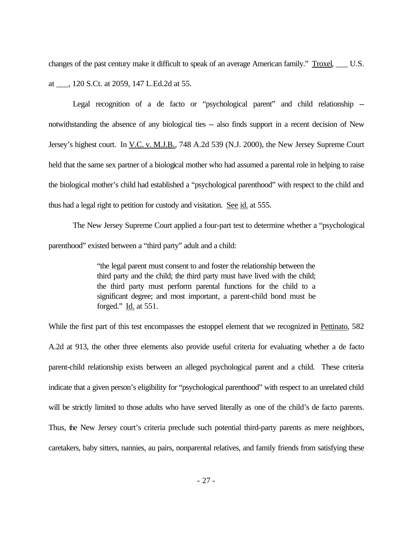changes of the past century make it difficult to speak of an average American family." Troxel, U.S. at \_\_\_, 120 S.Ct. at 2059, 147 L.Ed.2d at 55.

Legal recognition of a de facto or "psychological parent" and child relationship - notwithstanding the absence of any biological ties -- also finds support in a recent decision of New Jersey's highest court. In V.C. v. M.J.B., 748 A.2d 539 (N.J. 2000), the New Jersey Supreme Court held that the same sex partner of a biological mother who had assumed a parental role in helping to raise the biological mother's child had established a "psychological parenthood" with respect to the child and thus had a legal right to petition for custody and visitation. See id. at 555.

The New Jersey Supreme Court applied a four-part test to determine whether a "psychological parenthood" existed between a "third party" adult and a child:

> "the legal parent must consent to and foster the relationship between the third party and the child; the third party must have lived with the child; the third party must perform parental functions for the child to a significant degree; and most important, a parent-child bond must be forged." Id. at 551.

While the first part of this test encompasses the estoppel element that we recognized in Pettinato, 582 A.2d at 913, the other three elements also provide useful criteria for evaluating whether a de facto parent-child relationship exists between an alleged psychological parent and a child. These criteria indicate that a given person's eligibility for "psychological parenthood" with respect to an unrelated child will be strictly limited to those adults who have served literally as one of the child's de facto parents. Thus, the New Jersey court's criteria preclude such potential third-party parents as mere neighbors, caretakers, baby sitters, nannies, au pairs, nonparental relatives, and family friends from satisfying these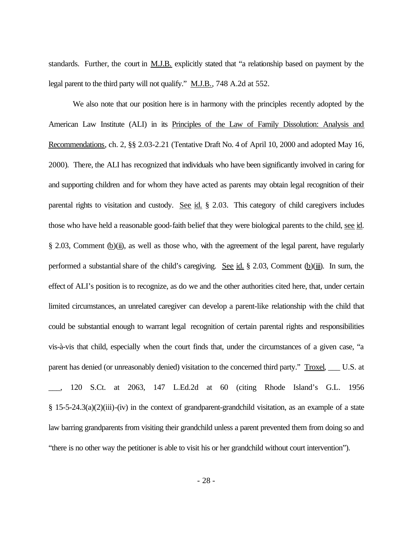standards. Further, the court in M.J.B. explicitly stated that "a relationship based on payment by the legal parent to the third party will not qualify." M.J.B., 748 A.2d at 552.

We also note that our position here is in harmony with the principles recently adopted by the American Law Institute (ALI) in its Principles of the Law of Family Dissolution: Analysis and Recommendations, ch. 2, §§ 2.03-2.21 (Tentative Draft No. 4 of April 10, 2000 and adopted May 16, 2000). There, the ALI has recognized that individuals who have been significantly involved in caring for and supporting children and for whom they have acted as parents may obtain legal recognition of their parental rights to visitation and custody. See id. § 2.03. This category of child caregivers includes those who have held a reasonable good-faith belief that they were biological parents to the child, see id. § 2.03, Comment (b)(ii), as well as those who, with the agreement of the legal parent, have regularly performed a substantial share of the child's caregiving. See id. § 2.03, Comment  $(b)(iii)$ . In sum, the effect of ALI's position is to recognize, as do we and the other authorities cited here, that, under certain limited circumstances, an unrelated caregiver can develop a parent-like relationship with the child that could be substantial enough to warrant legal recognition of certain parental rights and responsibilities vis-à-vis that child, especially when the court finds that, under the circumstances of a given case, "a parent has denied (or unreasonably denied) visitation to the concerned third party." Troxel, \_\_\_ U.S. at \_\_\_, 120 S.Ct. at 2063, 147 L.Ed.2d at 60 (citing Rhode Island's G.L. 1956  $§$  15-5-24.3(a)(2)(iii)-(iv) in the context of grandparent-grandchild visitation, as an example of a state law barring grandparents from visiting their grandchild unless a parent prevented them from doing so and "there is no other way the petitioner is able to visit his or her grandchild without court intervention").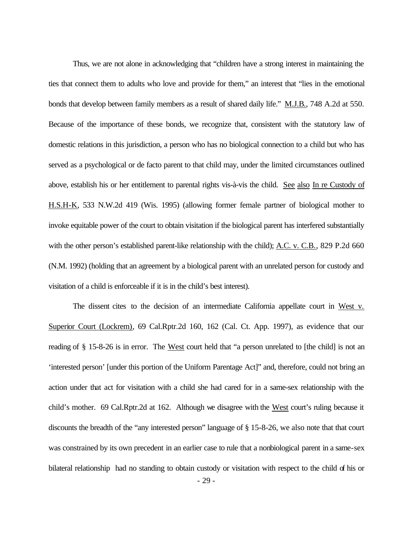Thus, we are not alone in acknowledging that "children have a strong interest in maintaining the ties that connect them to adults who love and provide for them," an interest that "lies in the emotional bonds that develop between family members as a result of shared daily life." M.J.B., 748 A.2d at 550. Because of the importance of these bonds, we recognize that, consistent with the statutory law of domestic relations in this jurisdiction, a person who has no biological connection to a child but who has served as a psychological or de facto parent to that child may, under the limited circumstances outlined above, establish his or her entitlement to parental rights vis-à-vis the child. See also In re Custody of H.S.H-K, 533 N.W.2d 419 (Wis. 1995) (allowing former female partner of biological mother to invoke equitable power of the court to obtain visitation if the biological parent has interfered substantially with the other person's established parent-like relationship with the child); A.C. v. C.B., 829 P.2d 660 (N.M. 1992) (holding that an agreement by a biological parent with an unrelated person for custody and visitation of a child is enforceable if it is in the child's best interest).

The dissent cites to the decision of an intermediate California appellate court in West v. Superior Court (Lockrem), 69 Cal.Rptr.2d 160, 162 (Cal. Ct. App. 1997), as evidence that our reading of § 15-8-26 is in error. The West court held that "a person unrelated to [the child] is not an 'interested person' [under this portion of the Uniform Parentage Act]" and, therefore, could not bring an action under that act for visitation with a child she had cared for in a same-sex relationship with the child's mother. 69 Cal.Rptr.2d at 162. Although we disagree with the West court's ruling because it discounts the breadth of the "any interested person" language of § 15-8-26, we also note that that court was constrained by its own precedent in an earlier case to rule that a nonbiological parent in a same-sex bilateral relationship had no standing to obtain custody or visitation with respect to the child of his or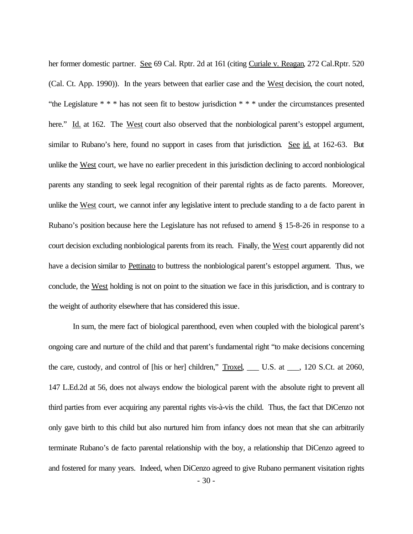her former domestic partner. See 69 Cal. Rptr. 2d at 161 (citing Curiale v. Reagan, 272 Cal.Rptr. 520 (Cal. Ct. App. 1990)). In the years between that earlier case and the West decision, the court noted, "the Legislature \* \* \* has not seen fit to bestow jurisdiction \* \* \* under the circumstances presented here." Id. at 162. The West court also observed that the nonbiological parent's estoppel argument, similar to Rubano's here, found no support in cases from that jurisdiction. See id. at 162-63. But unlike the West court, we have no earlier precedent in this jurisdiction declining to accord nonbiological parents any standing to seek legal recognition of their parental rights as de facto parents. Moreover, unlike the West court, we cannot infer any legislative intent to preclude standing to a de facto parent in Rubano's position because here the Legislature has not refused to amend § 15-8-26 in response to a court decision excluding nonbiological parents from its reach. Finally, the West court apparently did not have a decision similar to Pettinato to buttress the nonbiological parent's estoppel argument. Thus, we conclude, the West holding is not on point to the situation we face in this jurisdiction, and is contrary to the weight of authority elsewhere that has considered this issue.

In sum, the mere fact of biological parenthood, even when coupled with the biological parent's ongoing care and nurture of the child and that parent's fundamental right "to make decisions concerning the care, custody, and control of [his or her] children," Troxel, \_\_\_ U.S. at \_\_\_, 120 S.Ct. at 2060, 147 L.Ed.2d at 56, does not always endow the biological parent with the absolute right to prevent all third parties from ever acquiring any parental rights vis-à-vis the child. Thus, the fact that DiCenzo not only gave birth to this child but also nurtured him from infancy does not mean that she can arbitrarily terminate Rubano's de facto parental relationship with the boy, a relationship that DiCenzo agreed to and fostered for many years. Indeed, when DiCenzo agreed to give Rubano permanent visitation rights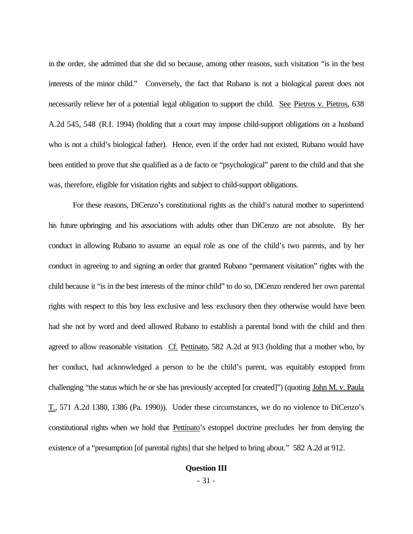in the order, she admitted that she did so because, among other reasons, such visitation "is in the best interests of the minor child." Conversely, the fact that Rubano is not a biological parent does not necessarily relieve her of a potential legal obligation to support the child. See Pietros v. Pietros, 638 A.2d 545, 548 (R.I. 1994) (holding that a court may impose child-support obligations on a husband who is not a child's biological father). Hence, even if the order had not existed, Rubano would have been entitled to prove that she qualified as a de facto or "psychological" parent to the child and that she was, therefore, eligible for visitation rights and subject to child-support obligations.

For these reasons, DiCenzo's constitutional rights as the child's natural mother to superintend his future upbringing and his associations with adults other than DiCenzo are not absolute. By her conduct in allowing Rubano to assume an equal role as one of the child's two parents, and by her conduct in agreeing to and signing an order that granted Rubano "permanent visitation" rights with the child because it "is in the best interests of the minor child" to do so, DiCenzo rendered her own parental rights with respect to this boy less exclusive and less exclusory then they otherwise would have been had she not by word and deed allowed Rubano to establish a parental bond with the child and then agreed to allow reasonable visitation. Cf. Pettinato, 582 A.2d at 913 (holding that a mother who, by her conduct, had acknowledged a person to be the child's parent, was equitably estopped from challenging "the status which he or she has previously accepted [or created]") (quoting John M. v. Paula T., 571 A.2d 1380, 1386 (Pa. 1990)). Under these circumstances, we do no violence to DiCenzo's constitutional rights when we hold that Pettinato's estoppel doctrine precludes her from denying the existence of a "presumption [of parental rights] that she helped to bring about." 582 A.2d at 912.

# **Question III**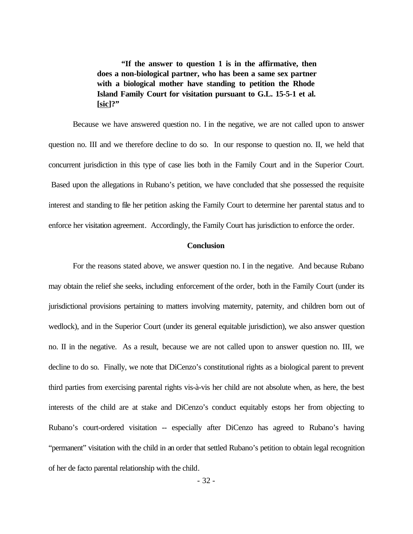**"If the answer to question 1 is in the affirmative, then does a non-biological partner, who has been a same sex partner with a biological mother have standing to petition the Rhode Island Family Court for visitation pursuant to G.L. 15-5-1 et al. [sic]?"** 

Because we have answered question no. I in the negative, we are not called upon to answer question no. III and we therefore decline to do so. In our response to question no. II, we held that concurrent jurisdiction in this type of case lies both in the Family Court and in the Superior Court. Based upon the allegations in Rubano's petition, we have concluded that she possessed the requisite interest and standing to file her petition asking the Family Court to determine her parental status and to enforce her visitation agreement. Accordingly, the Family Court has jurisdiction to enforce the order.

#### **Conclusion**

For the reasons stated above, we answer question no. I in the negative. And because Rubano may obtain the relief she seeks, including enforcement of the order, both in the Family Court (under its jurisdictional provisions pertaining to matters involving maternity, paternity, and children born out of wedlock), and in the Superior Court (under its general equitable jurisdiction), we also answer question no. II in the negative. As a result, because we are not called upon to answer question no. III, we decline to do so. Finally, we note that DiCenzo's constitutional rights as a biological parent to prevent third parties from exercising parental rights vis-à-vis her child are not absolute when, as here, the best interests of the child are at stake and DiCenzo's conduct equitably estops her from objecting to Rubano's court-ordered visitation -- especially after DiCenzo has agreed to Rubano's having "permanent" visitation with the child in an order that settled Rubano's petition to obtain legal recognition of her de facto parental relationship with the child.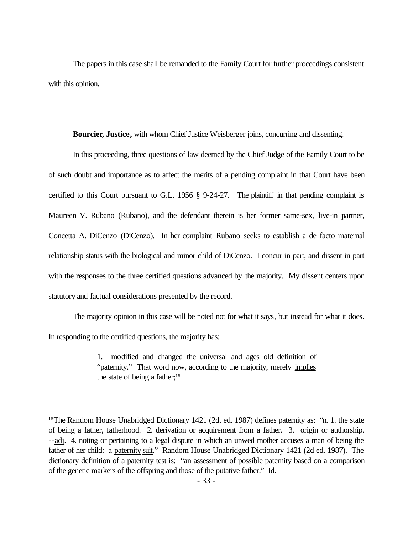The papers in this case shall be remanded to the Family Court for further proceedings consistent with this opinion.

**Bourcier, Justice,** with whom Chief Justice Weisberger joins, concurring and dissenting.

In this proceeding, three questions of law deemed by the Chief Judge of the Family Court to be of such doubt and importance as to affect the merits of a pending complaint in that Court have been certified to this Court pursuant to G.L. 1956 § 9-24-27. The plaintiff in that pending complaint is Maureen V. Rubano (Rubano), and the defendant therein is her former same-sex, live-in partner, Concetta A. DiCenzo (DiCenzo). In her complaint Rubano seeks to establish a de facto maternal relationship status with the biological and minor child of DiCenzo. I concur in part, and dissent in part with the responses to the three certified questions advanced by the majority. My dissent centers upon statutory and factual considerations presented by the record.

The majority opinion in this case will be noted not for what it says, but instead for what it does. In responding to the certified questions, the majority has:

> 1. modified and changed the universal and ages old definition of "paternity." That word now, according to the majority, merely implies the state of being a father;<sup>15</sup>

<sup>&</sup>lt;sup>15</sup>The Random House Unabridged Dictionary 1421 (2d. ed. 1987) defines paternity as: "n. 1. the state of being a father, fatherhood. 2. derivation or acquirement from a father. 3. origin or authorship. --adj. 4. noting or pertaining to a legal dispute in which an unwed mother accuses a man of being the father of her child: a paternity suit." Random House Unabridged Dictionary 1421 (2d ed. 1987). The dictionary definition of a paternity test is: "an assessment of possible paternity based on a comparison of the genetic markers of the offspring and those of the putative father." Id.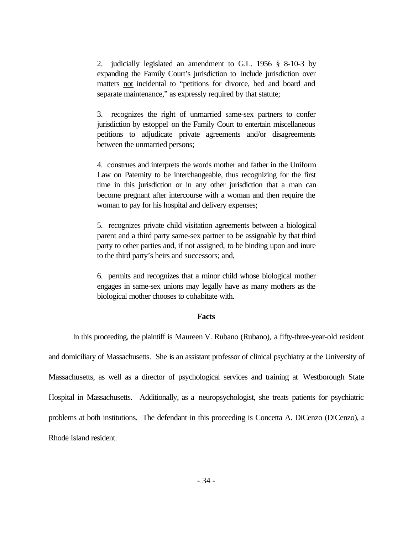2. judicially legislated an amendment to G.L. 1956 § 8-10-3 by expanding the Family Court's jurisdiction to include jurisdiction over matters not incidental to "petitions for divorce, bed and board and separate maintenance," as expressly required by that statute;

3. recognizes the right of unmarried same-sex partners to confer jurisdiction by estoppel on the Family Court to entertain miscellaneous petitions to adjudicate private agreements and/or disagreements between the unmarried persons;

4. construes and interprets the words mother and father in the Uniform Law on Paternity to be interchangeable, thus recognizing for the first time in this jurisdiction or in any other jurisdiction that a man can become pregnant after intercourse with a woman and then require the woman to pay for his hospital and delivery expenses;

5. recognizes private child visitation agreements between a biological parent and a third party same-sex partner to be assignable by that third party to other parties and, if not assigned, to be binding upon and inure to the third party's heirs and successors; and,

6. permits and recognizes that a minor child whose biological mother engages in same-sex unions may legally have as many mothers as the biological mother chooses to cohabitate with.

#### **Facts**

In this proceeding, the plaintiff is Maureen V. Rubano (Rubano), a fifty-three-year-old resident

and domiciliary of Massachusetts. She is an assistant professor of clinical psychiatry at the University of Massachusetts, as well as a director of psychological services and training at Westborough State Hospital in Massachusetts. Additionally, as a neuropsychologist, she treats patients for psychiatric problems at both institutions. The defendant in this proceeding is Concetta A. DiCenzo (DiCenzo), a Rhode Island resident.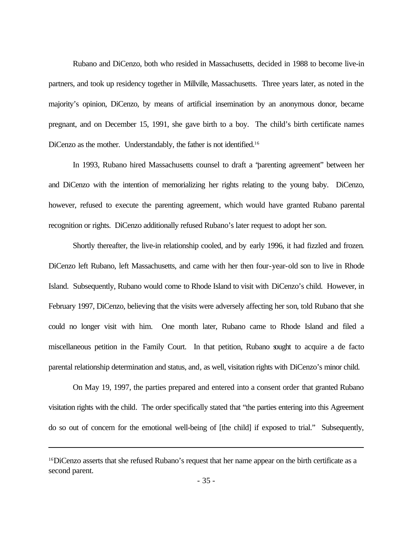Rubano and DiCenzo, both who resided in Massachusetts, decided in 1988 to become live-in partners, and took up residency together in Millville, Massachusetts. Three years later, as noted in the majority's opinion, DiCenzo, by means of artificial insemination by an anonymous donor, became pregnant, and on December 15, 1991, she gave birth to a boy. The child's birth certificate names DiCenzo as the mother. Understandably, the father is not identified.<sup>16</sup>

In 1993, Rubano hired Massachusetts counsel to draft a "parenting agreement" between her and DiCenzo with the intention of memorializing her rights relating to the young baby. DiCenzo, however, refused to execute the parenting agreement, which would have granted Rubano parental recognition or rights. DiCenzo additionally refused Rubano's later request to adopt her son.

Shortly thereafter, the live-in relationship cooled, and by early 1996, it had fizzled and frozen. DiCenzo left Rubano, left Massachusetts, and came with her then four-year-old son to live in Rhode Island. Subsequently, Rubano would come to Rhode Island to visit with DiCenzo's child. However, in February 1997, DiCenzo, believing that the visits were adversely affecting her son, told Rubano that she could no longer visit with him. One month later, Rubano came to Rhode Island and filed a miscellaneous petition in the Family Court. In that petition, Rubano sought to acquire a de facto parental relationship determination and status, and, as well, visitation rights with DiCenzo's minor child.

On May 19, 1997, the parties prepared and entered into a consent order that granted Rubano visitation rights with the child. The order specifically stated that "the parties entering into this Agreement do so out of concern for the emotional well-being of [the child] if exposed to trial." Subsequently,

<sup>16</sup>DiCenzo asserts that she refused Rubano's request that her name appear on the birth certificate as a second parent.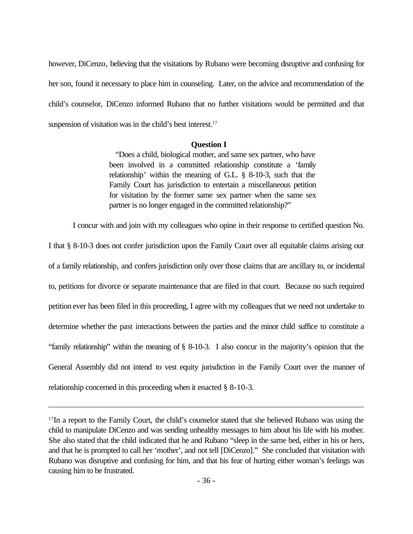however, DiCenzo, believing that the visitations by Rubano were becoming disruptive and confusing for her son, found it necessary to place him in counseling. Later, on the advice and recommendation of the child's counselor, DiCenzo informed Rubano that no further visitations would be permitted and that suspension of visitation was in the child's best interest.<sup>17</sup>

# **Question I**

 "Does a child, biological mother, and same sex partner, who have been involved in a committed relationship constitute a 'family relationship' within the meaning of G.L. § 8-10-3, such that the Family Court has jurisdiction to entertain a miscellaneous petition for visitation by the former same sex partner when the same sex partner is no longer engaged in the committed relationship?"

I concur with and join with my colleagues who opine in their response to certified question No.

I that § 8-10-3 does not confer jurisdiction upon the Family Court over all equitable claims arising out of a family relationship, and confers jurisdiction only over those claims that are ancillary to, or incidental to, petitions for divorce or separate maintenance that are filed in that court. Because no such required petition ever has been filed in this proceeding, I agree with my colleagues that we need not undertake to determine whether the past interactions between the parties and the minor child suffice to constitute a "family relationship" within the meaning of § 8-10-3. I also concur in the majority's opinion that the General Assembly did not intend to vest equity jurisdiction in the Family Court over the manner of relationship concerned in this proceeding when it enacted § 8-10-3.

<sup>&</sup>lt;sup>17</sup>In a report to the Family Court, the child's counselor stated that she believed Rubano was using the child to manipulate DiCenzo and was sending unhealthy messages to him about his life with his mother. She also stated that the child indicated that he and Rubano "sleep in the same bed, either in his or hers, and that he is prompted to call her 'mother', and not tell [DiCenzo]." She concluded that visitation with Rubano was disruptive and confusing for him, and that his fear of hurting either woman's feelings was causing him to be frustrated.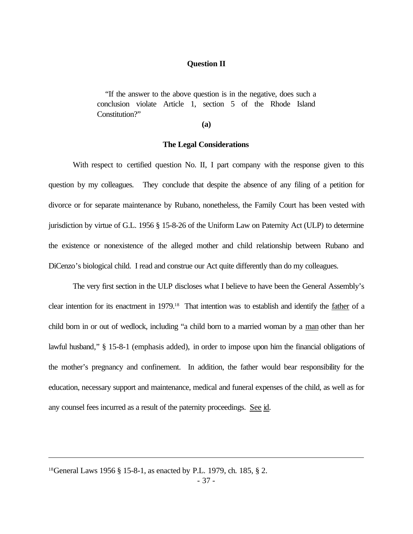# **Question II**

 "If the answer to the above question is in the negative, does such a conclusion violate Article 1, section 5 of the Rhode Island Constitution?"

**(a)**

# **The Legal Considerations**

With respect to certified question No. II, I part company with the response given to this question by my colleagues. They conclude that despite the absence of any filing of a petition for divorce or for separate maintenance by Rubano, nonetheless, the Family Court has been vested with jurisdiction by virtue of G.L. 1956 § 15-8-26 of the Uniform Law on Paternity Act (ULP) to determine the existence or nonexistence of the alleged mother and child relationship between Rubano and DiCenzo's biological child. I read and construe our Act quite differently than do my colleagues.

The very first section in the ULP discloses what I believe to have been the General Assembly's clear intention for its enactment in 1979.18 That intention was to establish and identify the father of a child born in or out of wedlock, including "a child born to a married woman by a man other than her lawful husband," § 15-8-1 (emphasis added), in order to impose upon him the financial obligations of the mother's pregnancy and confinement. In addition, the father would bear responsibility for the education, necessary support and maintenance, medical and funeral expenses of the child, as well as for any counsel fees incurred as a result of the paternity proceedings. See id.

<sup>18</sup>General Laws 1956 § 15-8-1, as enacted by P.L. 1979, ch. 185, § 2.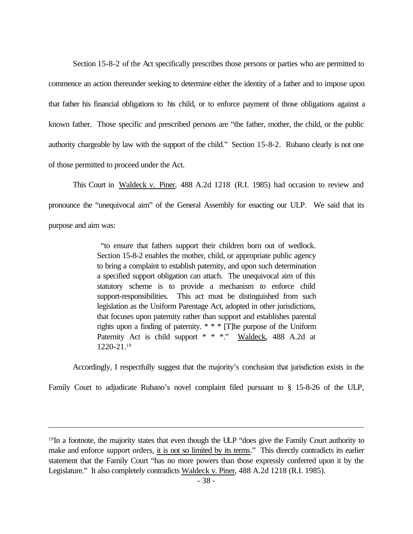Section 15-8-2 of the Act specifically prescribes those persons or parties who are permitted to commence an action thereunder seeking to determine either the identity of a father and to impose upon that father his financial obligations to his child, or to enforce payment of those obligations against a known father. Those specific and prescribed persons are "the father, mother, the child, or the public authority chargeable by law with the support of the child." Section 15-8-2. Rubano clearly is not one of those permitted to proceed under the Act.

This Court in Waldeck v. Piner, 488 A.2d 1218 (R.I. 1985) had occasion to review and pronounce the "unequivocal aim" of the General Assembly for enacting our ULP. We said that its purpose and aim was:

> "to ensure that fathers support their children born out of wedlock. Section 15-8-2 enables the mother, child, or appropriate public agency to bring a complaint to establish paternity, and upon such determination a specified support obligation can attach. The unequivocal aim of this statutory scheme is to provide a mechanism to enforce child support-responsibilities. This act must be distinguished from such legislation as the Uniform Parentage Act, adopted in other jurisdictions, that focuses upon paternity rather than support and establishes parental rights upon a finding of paternity. \* \* \* [T]he purpose of the Uniform Paternity Act is child support \* \* \*." Waldeck, 488 A.2d at 1220-21.<sup>19</sup>

Accordingly, I respectfully suggest that the majority's conclusion that jurisdiction exists in the

Family Court to adjudicate Rubano's novel complaint filed pursuant to § 15-8-26 of the ULP,

<sup>&</sup>lt;sup>19</sup>In a footnote, the majority states that even though the ULP "does give the Family Court authority to make and enforce support orders, it is not so limited by its terms." This directly contradicts its earlier statement that the Family Court "has no more powers than those expressly conferred upon it by the Legislature." It also completely contradicts Waldeck v. Piner, 488 A.2d 1218 (R.I. 1985).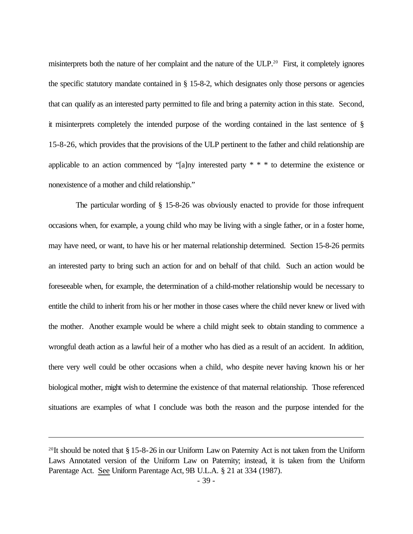misinterprets both the nature of her complaint and the nature of the ULP.20 First, it completely ignores the specific statutory mandate contained in § 15-8-2, which designates only those persons or agencies that can qualify as an interested party permitted to file and bring a paternity action in this state. Second, it misinterprets completely the intended purpose of the wording contained in the last sentence of § 15-8-26, which provides that the provisions of the ULP pertinent to the father and child relationship are applicable to an action commenced by "[a]ny interested party \* \* \* to determine the existence or nonexistence of a mother and child relationship."

 The particular wording of § 15-8-26 was obviously enacted to provide for those infrequent occasions when, for example, a young child who may be living with a single father, or in a foster home, may have need, or want, to have his or her maternal relationship determined. Section 15-8-26 permits an interested party to bring such an action for and on behalf of that child. Such an action would be foreseeable when, for example, the determination of a child-mother relationship would be necessary to entitle the child to inherit from his or her mother in those cases where the child never knew or lived with the mother. Another example would be where a child might seek to obtain standing to commence a wrongful death action as a lawful heir of a mother who has died as a result of an accident. In addition, there very well could be other occasions when a child, who despite never having known his or her biological mother, might wish to determine the existence of that maternal relationship. Those referenced situations are examples of what I conclude was both the reason and the purpose intended for the

<sup>&</sup>lt;sup>20</sup>It should be noted that  $\S 15$ -8-26 in our Uniform Law on Paternity Act is not taken from the Uniform Laws Annotated version of the Uniform Law on Paternity; instead, it is taken from the Uniform Parentage Act. See Uniform Parentage Act, 9B U.L.A. § 21 at 334 (1987).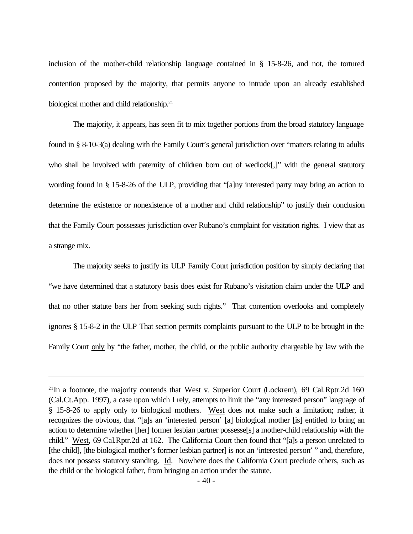inclusion of the mother-child relationship language contained in § 15-8-26, and not, the tortured contention proposed by the majority, that permits anyone to intrude upon an already established biological mother and child relationship.<sup>21</sup>

The majority, it appears, has seen fit to mix together portions from the broad statutory language found in § 8-10-3(a) dealing with the Family Court's general jurisdiction over "matters relating to adults who shall be involved with paternity of children born out of wedlock[,]" with the general statutory wording found in § 15-8-26 of the ULP, providing that "[a]ny interested party may bring an action to determine the existence or nonexistence of a mother and child relationship" to justify their conclusion that the Family Court possesses jurisdiction over Rubano's complaint for visitation rights. I view that as a strange mix.

The majority seeks to justify its ULP Family Court jurisdiction position by simply declaring that "we have determined that a statutory basis does exist for Rubano's visitation claim under the ULP and that no other statute bars her from seeking such rights." That contention overlooks and completely ignores § 15-8-2 in the ULP That section permits complaints pursuant to the ULP to be brought in the Family Court only by "the father, mother, the child, or the public authority chargeable by law with the

 $21$ In a footnote, the majority contends that West v. Superior Court (Lockrem), 69 Cal.Rptr.2d 160 (Cal.Ct.App. 1997), a case upon which I rely, attempts to limit the "any interested person" language of § 15-8-26 to apply only to biological mothers. West does not make such a limitation; rather, it recognizes the obvious, that "[a]s an 'interested person' [a] biological mother [is] entitled to bring an action to determine whether [her] former lesbian partner possesse[s] a mother-child relationship with the child." West, 69 Cal.Rptr.2d at 162. The California Court then found that "[a]s a person unrelated to [the child], [the biological mother's former lesbian partner] is not an 'interested person' " and, therefore, does not possess statutory standing. Id. Nowhere does the California Court preclude others, such as the child or the biological father, from bringing an action under the statute.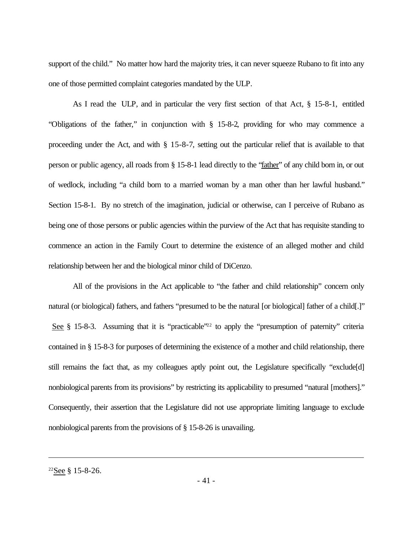support of the child." No matter how hard the majority tries, it can never squeeze Rubano to fit into any one of those permitted complaint categories mandated by the ULP.

As I read the ULP, and in particular the very first section of that Act, § 15-8-1, entitled "Obligations of the father," in conjunction with § 15-8-2, providing for who may commence a proceeding under the Act, and with § 15-8-7, setting out the particular relief that is available to that person or public agency, all roads from § 15-8-1 lead directly to the "father" of any child born in, or out of wedlock, including "a child born to a married woman by a man other than her lawful husband." Section 15-8-1. By no stretch of the imagination, judicial or otherwise, can I perceive of Rubano as being one of those persons or public agencies within the purview of the Act that has requisite standing to commence an action in the Family Court to determine the existence of an alleged mother and child relationship between her and the biological minor child of DiCenzo.

All of the provisions in the Act applicable to "the father and child relationship" concern only natural (or biological) fathers, and fathers "presumed to be the natural [or biological] father of a child[.]" See  $\S$  15-8-3. Assuming that it is "practicable"<sup>22</sup> to apply the "presumption of paternity" criteria contained in § 15-8-3 for purposes of determining the existence of a mother and child relationship, there still remains the fact that, as my colleagues aptly point out, the Legislature specifically "exclude[d] nonbiological parents from its provisions" by restricting its applicability to presumed "natural [mothers]." Consequently, their assertion that the Legislature did not use appropriate limiting language to exclude nonbiological parents from the provisions of § 15-8-26 is unavailing.

<sup>22</sup>See § 15-8-26.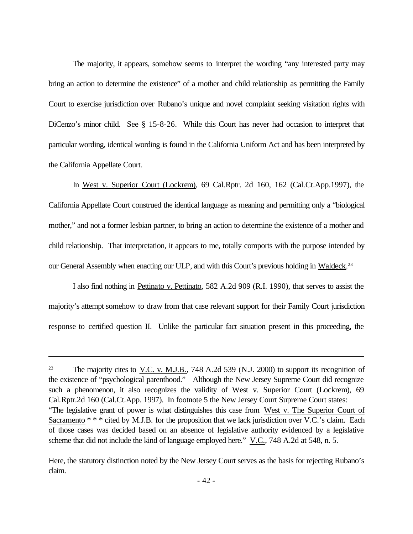The majority, it appears, somehow seems to interpret the wording "any interested party may bring an action to determine the existence" of a mother and child relationship as permitting the Family Court to exercise jurisdiction over Rubano's unique and novel complaint seeking visitation rights with DiCenzo's minor child. See § 15-8-26. While this Court has never had occasion to interpret that particular wording, identical wording is found in the California Uniform Act and has been interpreted by the California Appellate Court.

In West v. Superior Court (Lockrem), 69 Cal.Rptr. 2d 160, 162 (Cal.Ct.App.1997), the California Appellate Court construed the identical language as meaning and permitting only a "biological mother," and not a former lesbian partner, to bring an action to determine the existence of a mother and child relationship. That interpretation, it appears to me, totally comports with the purpose intended by our General Assembly when enacting our ULP, and with this Court's previous holding in Waldeck.<sup>23</sup>

I also find nothing in Pettinato v. Pettinato, 582 A.2d 909 (R.I. 1990), that serves to assist the majority's attempt somehow to draw from that case relevant support for their Family Court jurisdiction response to certified question II. Unlike the particular fact situation present in this proceeding, the

Here, the statutory distinction noted by the New Jersey Court serves as the basis for rejecting Rubano's claim.

<sup>&</sup>lt;sup>23</sup> The majority cites to V.C. v. M.J.B., 748 A.2d 539 (N.J. 2000) to support its recognition of the existence of "psychological parenthood." Although the New Jersey Supreme Court did recognize such a phenomenon, it also recognizes the validity of West v. Superior Court (Lockrem), 69 Cal.Rptr.2d 160 (Cal.Ct.App. 1997). In footnote 5 the New Jersey Court Supreme Court states: "The legislative grant of power is what distinguishes this case from West v. The Superior Court of Sacramento \* \* \* cited by M.J.B. for the proposition that we lack jurisdiction over V.C.'s claim. Each of those cases was decided based on an absence of legislative authority evidenced by a legislative scheme that did not include the kind of language employed here." V.C., 748 A.2d at 548, n. 5.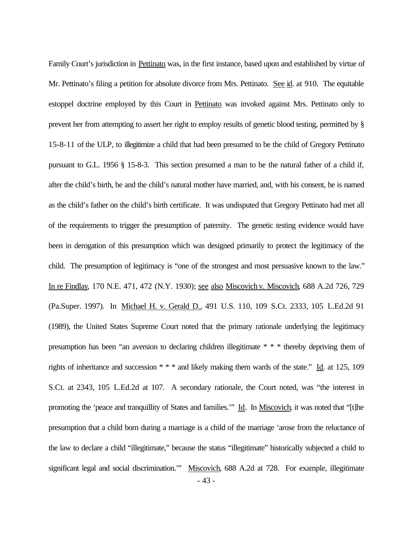Family Court's jurisdiction in Pettinato was, in the first instance, based upon and established by virtue of Mr. Pettinato's filing a petition for absolute divorce from Mrs. Pettinato. See id. at 910. The equitable estoppel doctrine employed by this Court in Pettinato was invoked against Mrs. Pettinato only to prevent her from attempting to assert her right to employ results of genetic blood testing, permitted by § 15-8-11 of the ULP, to illegitimize a child that had been presumed to be the child of Gregory Pettinato pursuant to G.L. 1956 § 15-8-3. This section presumed a man to be the natural father of a child if, after the child's birth, he and the child's natural mother have married, and, with his consent, he is named as the child's father on the child's birth certificate. It was undisputed that Gregory Pettinato had met all of the requirements to trigger the presumption of paternity. The genetic testing evidence would have been in derogation of this presumption which was designed primarily to protect the legitimacy of the child. The presumption of legitimacy is "one of the strongest and most persuasive known to the law." In re Findlay, 170 N.E. 471, 472 (N.Y. 1930); see also Miscovich v. Miscovich, 688 A.2d 726, 729 (Pa.Super. 1997). In Michael H. v. Gerald D., 491 U.S. 110, 109 S.Ct. 2333, 105 L.Ed.2d 91 (1989), the United States Supreme Court noted that the primary rationale underlying the legitimacy presumption has been "an aversion to declaring children illegitimate \* \* \* thereby depriving them of rights of inheritance and succession \* \* \* and likely making them wards of the state." Id. at 125, 109 S.Ct. at 2343, 105 L.Ed.2d at 107. A secondary rationale, the Court noted, was "the interest in promoting the 'peace and tranquillity of States and families."" Id. In Miscovich, it was noted that "[t]he presumption that a child born during a marriage is a child of the marriage 'arose from the reluctance of the law to declare a child "illegitimate," because the status "illegitimate" historically subjected a child to significant legal and social discrimination.'" Miscovich, 688 A.2d at 728. For example, illegitimate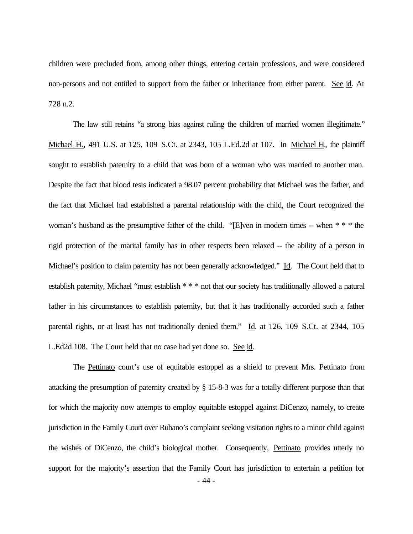children were precluded from, among other things, entering certain professions, and were considered non-persons and not entitled to support from the father or inheritance from either parent. See id. At 728 n.2.

The law still retains "a strong bias against ruling the children of married women illegitimate." Michael H., 491 U.S. at 125, 109 S.Ct. at 2343, 105 L.Ed.2d at 107. In Michael H, the plaintiff sought to establish paternity to a child that was born of a woman who was married to another man. Despite the fact that blood tests indicated a 98.07 percent probability that Michael was the father, and the fact that Michael had established a parental relationship with the child, the Court recognized the woman's husband as the presumptive father of the child. "[E]ven in modern times -- when \* \* \* the rigid protection of the marital family has in other respects been relaxed -- the ability of a person in Michael's position to claim paternity has not been generally acknowledged." Id. The Court held that to establish paternity, Michael "must establish \* \* \* not that our society has traditionally allowed a natural father in his circumstances to establish paternity, but that it has traditionally accorded such a father parental rights, or at least has not traditionally denied them." Id. at 126, 109 S.Ct. at 2344, 105 L.Ed2d 108. The Court held that no case had yet done so. See id.

The Pettinato court's use of equitable estoppel as a shield to prevent Mrs. Pettinato from attacking the presumption of paternity created by § 15-8-3 was for a totally different purpose than that for which the majority now attempts to employ equitable estoppel against DiCenzo, namely, to create jurisdiction in the Family Court over Rubano's complaint seeking visitation rights to a minor child against the wishes of DiCenzo, the child's biological mother. Consequently, Pettinato provides utterly no support for the majority's assertion that the Family Court has jurisdiction to entertain a petition for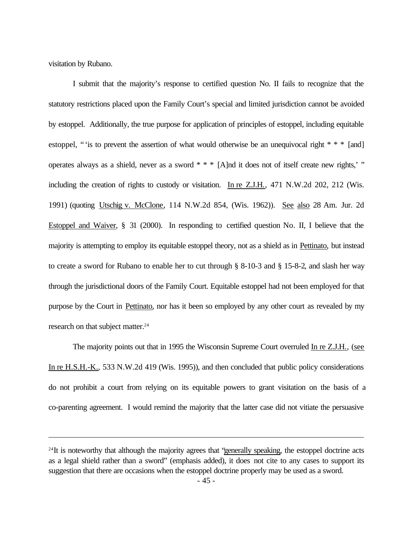visitation by Rubano.

I submit that the majority's response to certified question No. II fails to recognize that the statutory restrictions placed upon the Family Court's special and limited jurisdiction cannot be avoided by estoppel. Additionally, the true purpose for application of principles of estoppel, including equitable estoppel, " is to prevent the assertion of what would otherwise be an unequivocal right  $* * * [and]$ operates always as a shield, never as a sword  $* * * [A]$ nd it does not of itself create new rights,' " including the creation of rights to custody or visitation. In re Z.J.H., 471 N.W.2d 202, 212 (Wis. 1991) (quoting Utschig v. McClone, 114 N.W.2d 854, (Wis. 1962)). See also 28 Am. Jur. 2d Estoppel and Waiver, § 31 (2000). In responding to certified question No. II, I believe that the majority is attempting to employ its equitable estoppel theory, not as a shield as in Pettinato, but instead to create a sword for Rubano to enable her to cut through § 8-10-3 and § 15-8-2, and slash her way through the jurisdictional doors of the Family Court. Equitable estoppel had not been employed for that purpose by the Court in Pettinato, nor has it been so employed by any other court as revealed by my research on that subject matter.<sup>24</sup>

The majority points out that in 1995 the Wisconsin Supreme Court overruled In re Z.J.H., (see In re H.S.H.-K., 533 N.W.2d 419 (Wis. 1995)), and then concluded that public policy considerations do not prohibit a court from relying on its equitable powers to grant visitation on the basis of a co-parenting agreement. I would remind the majority that the latter case did not vitiate the persuasive

<sup>&</sup>lt;sup>24</sup>It is noteworthy that although the majority agrees that "generally speaking, the estoppel doctrine acts as a legal shield rather than a sword" (emphasis added), it does not cite to any cases to support its suggestion that there are occasions when the estoppel doctrine properly may be used as a sword.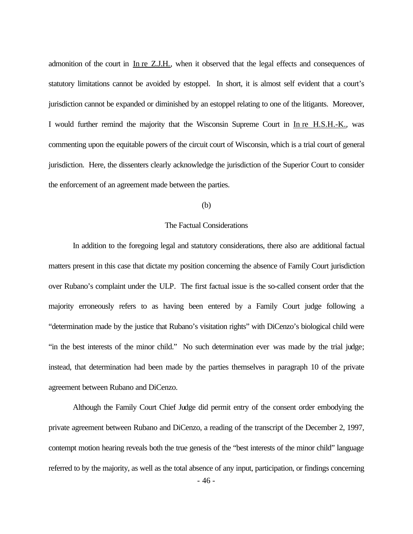admonition of the court in In re Z.J.H., when it observed that the legal effects and consequences of statutory limitations cannot be avoided by estoppel. In short, it is almost self evident that a court's jurisdiction cannot be expanded or diminished by an estoppel relating to one of the litigants. Moreover, I would further remind the majority that the Wisconsin Supreme Court in In re H.S.H.-K., was commenting upon the equitable powers of the circuit court of Wisconsin, which is a trial court of general jurisdiction. Here, the dissenters clearly acknowledge the jurisdiction of the Superior Court to consider the enforcement of an agreement made between the parties.

# (b)

### The Factual Considerations

In addition to the foregoing legal and statutory considerations, there also are additional factual matters present in this case that dictate my position concerning the absence of Family Court jurisdiction over Rubano's complaint under the ULP. The first factual issue is the so-called consent order that the majority erroneously refers to as having been entered by a Family Court judge following a "determination made by the justice that Rubano's visitation rights" with DiCenzo's biological child were "in the best interests of the minor child." No such determination ever was made by the trial judge; instead, that determination had been made by the parties themselves in paragraph 10 of the private agreement between Rubano and DiCenzo.

Although the Family Court Chief Judge did permit entry of the consent order embodying the private agreement between Rubano and DiCenzo, a reading of the transcript of the December 2, 1997, contempt motion hearing reveals both the true genesis of the "best interests of the minor child" language referred to by the majority, as well as the total absence of any input, participation, or findings concerning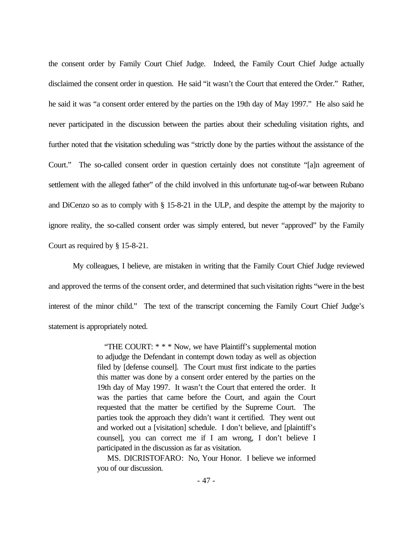the consent order by Family Court Chief Judge. Indeed, the Family Court Chief Judge actually disclaimed the consent order in question. He said "it wasn't the Court that entered the Order." Rather, he said it was "a consent order entered by the parties on the 19th day of May 1997." He also said he never participated in the discussion between the parties about their scheduling visitation rights, and further noted that the visitation scheduling was "strictly done by the parties without the assistance of the Court." The so-called consent order in question certainly does not constitute "[a]n agreement of settlement with the alleged father" of the child involved in this unfortunate tug-of-war between Rubano and DiCenzo so as to comply with § 15-8-21 in the ULP, and despite the attempt by the majority to ignore reality, the so-called consent order was simply entered, but never "approved" by the Family Court as required by § 15-8-21.

My colleagues, I believe, are mistaken in writing that the Family Court Chief Judge reviewed and approved the terms of the consent order, and determined that such visitation rights "were in the best interest of the minor child." The text of the transcript concerning the Family Court Chief Judge's statement is appropriately noted.

> "THE COURT: \* \* \* Now, we have Plaintiff's supplemental motion to adjudge the Defendant in contempt down today as well as objection filed by [defense counsel]. The Court must first indicate to the parties this matter was done by a consent order entered by the parties on the 19th day of May 1997. It wasn't the Court that entered the order. It was the parties that came before the Court, and again the Court requested that the matter be certified by the Supreme Court. The parties took the approach they didn't want it certified. They went out and worked out a [visitation] schedule. I don't believe, and [plaintiff's counsel], you can correct me if I am wrong, I don't believe I participated in the discussion as far as visitation.

> MS. DICRISTOFARO: No, Your Honor. I believe we informed you of our discussion.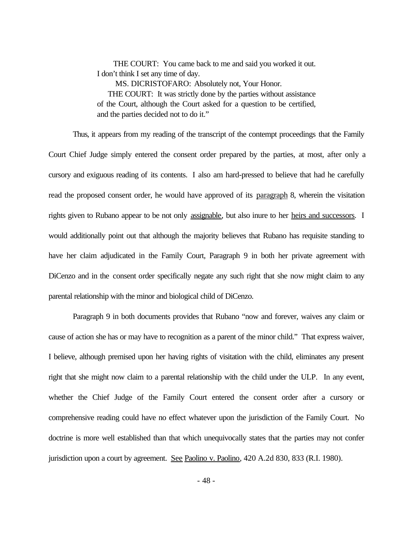THE COURT: You came back to me and said you worked it out. I don't think I set any time of day.

 MS. DICRISTOFARO: Absolutely not, Your Honor. THE COURT: It was strictly done by the parties without assistance of the Court, although the Court asked for a question to be certified, and the parties decided not to do it."

Thus, it appears from my reading of the transcript of the contempt proceedings that the Family Court Chief Judge simply entered the consent order prepared by the parties, at most, after only a cursory and exiguous reading of its contents. I also am hard-pressed to believe that had he carefully read the proposed consent order, he would have approved of its paragraph 8, wherein the visitation rights given to Rubano appear to be not only assignable, but also inure to her heirs and successors. I would additionally point out that although the majority believes that Rubano has requisite standing to have her claim adjudicated in the Family Court, Paragraph 9 in both her private agreement with DiCenzo and in the consent order specifically negate any such right that she now might claim to any parental relationship with the minor and biological child of DiCenzo.

Paragraph 9 in both documents provides that Rubano "now and forever, waives any claim or cause of action she has or may have to recognition as a parent of the minor child." That express waiver, I believe, although premised upon her having rights of visitation with the child, eliminates any present right that she might now claim to a parental relationship with the child under the ULP. In any event, whether the Chief Judge of the Family Court entered the consent order after a cursory or comprehensive reading could have no effect whatever upon the jurisdiction of the Family Court. No doctrine is more well established than that which unequivocally states that the parties may not confer jurisdiction upon a court by agreement. See Paolino v. Paolino, 420 A.2d 830, 833 (R.I. 1980).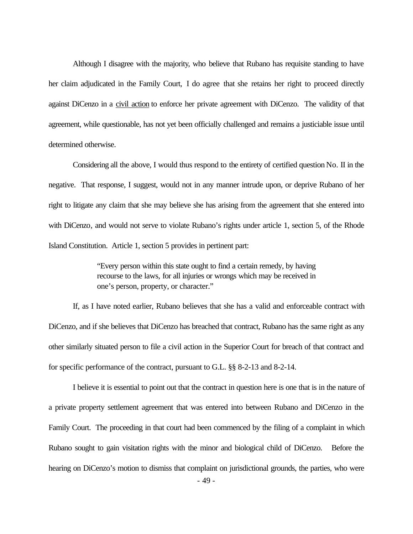Although I disagree with the majority, who believe that Rubano has requisite standing to have her claim adjudicated in the Family Court, I do agree that she retains her right to proceed directly against DiCenzo in a civil action to enforce her private agreement with DiCenzo. The validity of that agreement, while questionable, has not yet been officially challenged and remains a justiciable issue until determined otherwise.

Considering all the above, I would thus respond to the entirety of certified question No. II in the negative. That response, I suggest, would not in any manner intrude upon, or deprive Rubano of her right to litigate any claim that she may believe she has arising from the agreement that she entered into with DiCenzo, and would not serve to violate Rubano's rights under article 1, section 5, of the Rhode Island Constitution. Article 1, section 5 provides in pertinent part:

> "Every person within this state ought to find a certain remedy, by having recourse to the laws, for all injuries or wrongs which may be received in one's person, property, or character."

If, as I have noted earlier, Rubano believes that she has a valid and enforceable contract with DiCenzo, and if she believes that DiCenzo has breached that contract, Rubano has the same right as any other similarly situated person to file a civil action in the Superior Court for breach of that contract and for specific performance of the contract, pursuant to G.L. §§ 8-2-13 and 8-2-14.

I believe it is essential to point out that the contract in question here is one that is in the nature of a private property settlement agreement that was entered into between Rubano and DiCenzo in the Family Court. The proceeding in that court had been commenced by the filing of a complaint in which Rubano sought to gain visitation rights with the minor and biological child of DiCenzo. Before the hearing on DiCenzo's motion to dismiss that complaint on jurisdictional grounds, the parties, who were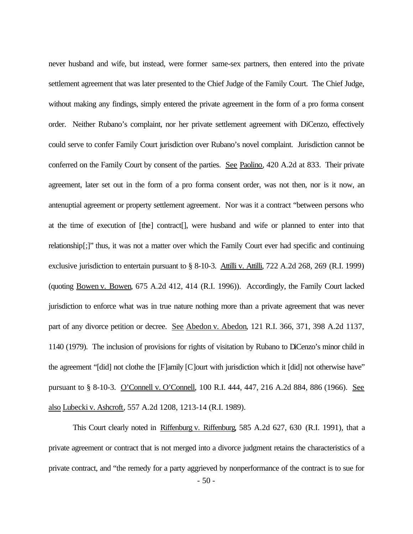never husband and wife, but instead, were former same-sex partners, then entered into the private settlement agreement that was later presented to the Chief Judge of the Family Court. The Chief Judge, without making any findings, simply entered the private agreement in the form of a pro forma consent order. Neither Rubano's complaint, nor her private settlement agreement with DiCenzo, effectively could serve to confer Family Court jurisdiction over Rubano's novel complaint. Jurisdiction cannot be conferred on the Family Court by consent of the parties. See Paolino, 420 A.2d at 833. Their private agreement, later set out in the form of a pro forma consent order, was not then, nor is it now, an antenuptial agreement or property settlement agreement. Nor was it a contract "between persons who at the time of execution of [the] contract[], were husband and wife or planned to enter into that relationship[;]" thus, it was not a matter over which the Family Court ever had specific and continuing exclusive jurisdiction to entertain pursuant to § 8-10-3. Attilli v. Attilli, 722 A.2d 268, 269 (R.I. 1999) (quoting Bowen v. Bowen, 675 A.2d 412, 414 (R.I. 1996)). Accordingly, the Family Court lacked jurisdiction to enforce what was in true nature nothing more than a private agreement that was never part of any divorce petition or decree. See Abedon v. Abedon, 121 R.I. 366, 371, 398 A.2d 1137, 1140 (1979). The inclusion of provisions for rights of visitation by Rubano to DiCenzo's minor child in the agreement "[did] not clothe the [F]amily [C]ourt with jurisdiction which it [did] not otherwise have" pursuant to § 8-10-3. O'Connell v. O'Connell, 100 R.I. 444, 447, 216 A.2d 884, 886 (1966). See also Lubecki v. Ashcroft, 557 A.2d 1208, 1213-14 (R.I. 1989).

This Court clearly noted in Riffenburg v. Riffenburg, 585 A.2d 627, 630 (R.I. 1991), that a private agreement or contract that is not merged into a divorce judgment retains the characteristics of a private contract, and "the remedy for a party aggrieved by nonperformance of the contract is to sue for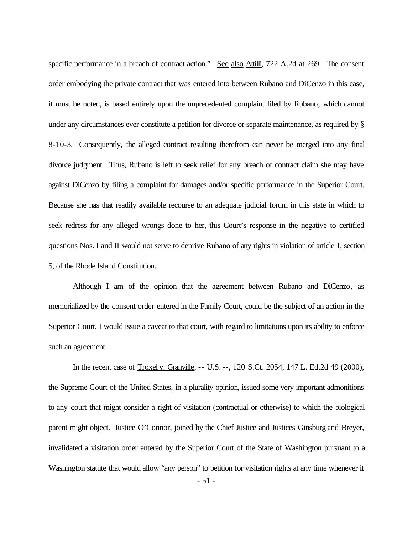specific performance in a breach of contract action." See also Attilli, 722 A.2d at 269. The consent order embodying the private contract that was entered into between Rubano and DiCenzo in this case, it must be noted, is based entirely upon the unprecedented complaint filed by Rubano, which cannot under any circumstances ever constitute a petition for divorce or separate maintenance, as required by § 8-10-3. Consequently, the alleged contract resulting therefrom can never be merged into any final divorce judgment. Thus, Rubano is left to seek relief for any breach of contract claim she may have against DiCenzo by filing a complaint for damages and/or specific performance in the Superior Court. Because she has that readily available recourse to an adequate judicial forum in this state in which to seek redress for any alleged wrongs done to her, this Court's response in the negative to certified questions Nos. I and II would not serve to deprive Rubano of any rights in violation of article 1, section 5, of the Rhode Island Constitution.

Although I am of the opinion that the agreement between Rubano and DiCenzo, as memorialized by the consent order entered in the Family Court, could be the subject of an action in the Superior Court, I would issue a caveat to that court, with regard to limitations upon its ability to enforce such an agreement.

In the recent case of Troxel v. Granville, -- U.S. --, 120 S.Ct. 2054, 147 L. Ed.2d 49 (2000), the Supreme Court of the United States, in a plurality opinion, issued some very important admonitions to any court that might consider a right of visitation (contractual or otherwise) to which the biological parent might object. Justice O'Connor, joined by the Chief Justice and Justices Ginsburg and Breyer, invalidated a visitation order entered by the Superior Court of the State of Washington pursuant to a Washington statute that would allow "any person" to petition for visitation rights at any time whenever it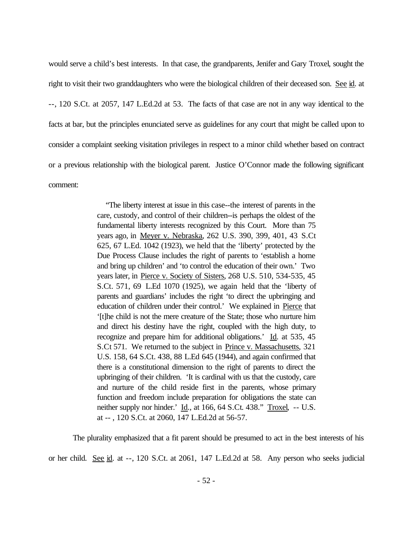would serve a child's best interests. In that case, the grandparents, Jenifer and Gary Troxel, sought the right to visit their two granddaughters who were the biological children of their deceased son. See id. at --, 120 S.Ct. at 2057, 147 L.Ed.2d at 53. The facts of that case are not in any way identical to the facts at bar, but the principles enunciated serve as guidelines for any court that might be called upon to consider a complaint seeking visitation privileges in respect to a minor child whether based on contract or a previous relationship with the biological parent. Justice O'Connor made the following significant comment:

> "The liberty interest at issue in this case--the interest of parents in the care, custody, and control of their children--is perhaps the oldest of the fundamental liberty interests recognized by this Court. More than 75 years ago, in Meyer v. Nebraska, 262 U.S. 390, 399, 401, 43 S.Ct 625, 67 L.Ed. 1042 (1923), we held that the 'liberty' protected by the Due Process Clause includes the right of parents to 'establish a home and bring up children' and 'to control the education of their own.' Two years later, in Pierce v. Society of Sisters, 268 U.S. 510, 534-535, 45 S.Ct. 571, 69 L.Ed 1070 (1925), we again held that the 'liberty of parents and guardians' includes the right 'to direct the upbringing and education of children under their control.' We explained in Pierce that '[t]he child is not the mere creature of the State; those who nurture him and direct his destiny have the right, coupled with the high duty, to recognize and prepare him for additional obligations.' Id. at 535, 45 S.Ct 571. We returned to the subject in Prince v. Massachusetts, 321 U.S. 158, 64 S.Ct. 438, 88 L.Ed 645 (1944), and again confirmed that there is a constitutional dimension to the right of parents to direct the upbringing of their children. 'It is cardinal with us that the custody, care and nurture of the child reside first in the parents, whose primary function and freedom include preparation for obligations the state can neither supply nor hinder.' Id., at 166, 64 S.Ct. 438." Troxel, -- U.S. at -- , 120 S.Ct. at 2060, 147 L.Ed.2d at 56-57.

The plurality emphasized that a fit parent should be presumed to act in the best interests of his

or her child. See id. at --, 120 S.Ct. at 2061, 147 L.Ed.2d at 58. Any person who seeks judicial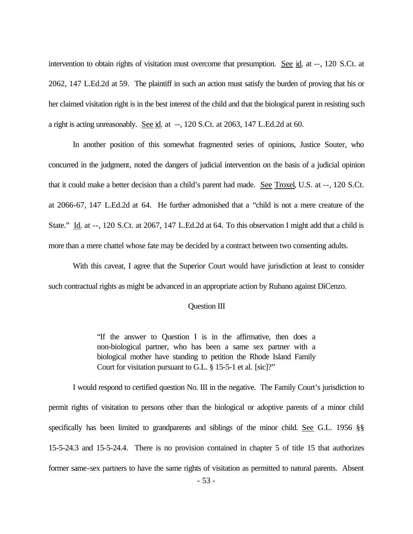intervention to obtain rights of visitation must overcome that presumption. See id. at --, 120 S.Ct. at 2062, 147 L.Ed.2d at 59. The plaintiff in such an action must satisfy the burden of proving that his or her claimed visitation right is in the best interest of the child and that the biological parent in resisting such a right is acting unreasonably. See id. at --, 120 S.Ct. at 2063, 147 L.Ed.2d at 60.

In another position of this somewhat fragmented series of opinions, Justice Souter, who concurred in the judgment, noted the dangers of judicial intervention on the basis of a judicial opinion that it could make a better decision than a child's parent had made. See Troxel, U.S. at --, 120 S.Ct. at 2066-67, 147 L.Ed.2d at 64. He further admonished that a "child is not a mere creature of the State." Id. at --, 120 S.Ct. at 2067, 147 L.Ed.2d at 64. To this observation I might add that a child is more than a mere chattel whose fate may be decided by a contract between two consenting adults.

With this caveat, I agree that the Superior Court would have jurisdiction at least to consider such contractual rights as might be advanced in an appropriate action by Rubano against DiCenzo.

#### Question III

"If the answer to Question I is in the affirmative, then does a non-biological partner, who has been a same sex partner with a biological mother have standing to petition the Rhode Island Family Court for visitation pursuant to G.L. § 15-5-1 et al. [sic]?"

I would respond to certified question No. III in the negative. The Family Court's jurisdiction to permit rights of visitation to persons other than the biological or adoptive parents of a minor child specifically has been limited to grandparents and siblings of the minor child. See G.L. 1956 §§ 15-5-24.3 and 15-5-24.4. There is no provision contained in chapter 5 of title 15 that authorizes former same-sex partners to have the same rights of visitation as permitted to natural parents. Absent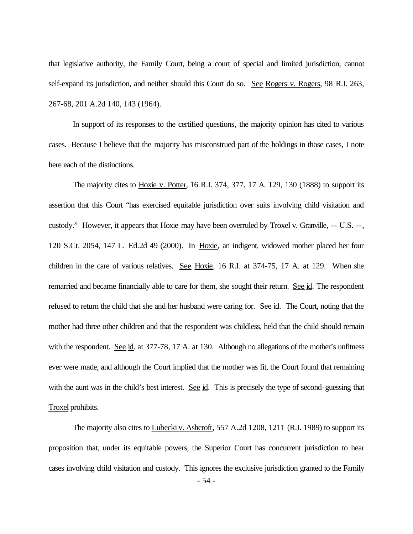that legislative authority, the Family Court, being a court of special and limited jurisdiction, cannot self-expand its jurisdiction, and neither should this Court do so. See Rogers v. Rogers, 98 R.I. 263, 267-68, 201 A.2d 140, 143 (1964).

In support of its responses to the certified questions, the majority opinion has cited to various cases. Because I believe that the majority has misconstrued part of the holdings in those cases, I note here each of the distinctions.

The majority cites to Hoxie v. Potter, 16 R.I. 374, 377, 17 A. 129, 130 (1888) to support its assertion that this Court "has exercised equitable jurisdiction over suits involving child visitation and custody." However, it appears that Hoxie may have been overruled by Troxel v. Granville, -- U.S. --, 120 S.Ct. 2054, 147 L. Ed.2d 49 (2000). In Hoxie, an indigent, widowed mother placed her four children in the care of various relatives. See Hoxie, 16 R.I. at 374-75, 17 A. at 129. When she remarried and became financially able to care for them, she sought their return. See id. The respondent refused to return the child that she and her husband were caring for. See id. The Court, noting that the mother had three other children and that the respondent was childless, held that the child should remain with the respondent. See id. at 377-78, 17 A. at 130. Although no allegations of the mother's unfitness ever were made, and although the Court implied that the mother was fit, the Court found that remaining with the aunt was in the child's best interest. See id. This is precisely the type of second-guessing that Troxel prohibits.

The majority also cites to Lubecki v. Ashcroft, 557 A.2d 1208, 1211 (R.I. 1989) to support its proposition that, under its equitable powers, the Superior Court has concurrent jurisdiction to hear cases involving child visitation and custody. This ignores the exclusive jurisdiction granted to the Family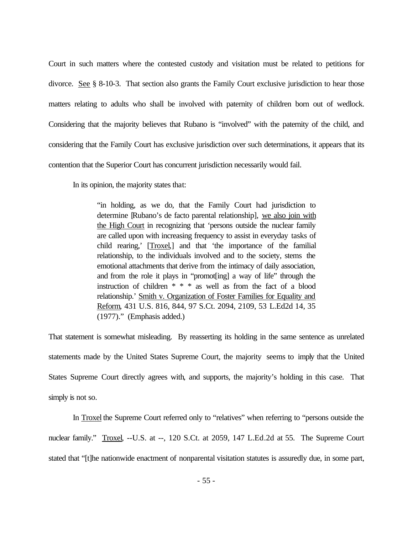Court in such matters where the contested custody and visitation must be related to petitions for divorce. See § 8-10-3. That section also grants the Family Court exclusive jurisdiction to hear those matters relating to adults who shall be involved with paternity of children born out of wedlock. Considering that the majority believes that Rubano is "involved" with the paternity of the child, and considering that the Family Court has exclusive jurisdiction over such determinations, it appears that its contention that the Superior Court has concurrent jurisdiction necessarily would fail.

In its opinion, the majority states that:

"in holding, as we do, that the Family Court had jurisdiction to determine [Rubano's de facto parental relationship], we also join with the High Court in recognizing that 'persons outside the nuclear family are called upon with increasing frequency to assist in everyday tasks of child rearing,' [Troxel,] and that 'the importance of the familial relationship, to the individuals involved and to the society, stems the emotional attachments that derive from the intimacy of daily association, and from the role it plays in "promot[ing] a way of life" through the instruction of children \* \* \* as well as from the fact of a blood relationship.' Smith v. Organization of Foster Families for Equality and Reform, 431 U.S. 816, 844, 97 S.Ct. 2094, 2109, 53 L.Ed2d 14, 35 (1977)." (Emphasis added.)

That statement is somewhat misleading. By reasserting its holding in the same sentence as unrelated statements made by the United States Supreme Court, the majority seems to imply that the United States Supreme Court directly agrees with, and supports, the majority's holding in this case. That simply is not so.

In Troxel the Supreme Court referred only to "relatives" when referring to "persons outside the nuclear family." Troxel, --U.S. at --, 120 S.Ct. at 2059, 147 L.Ed.2d at 55. The Supreme Court stated that "[t]he nationwide enactment of nonparental visitation statutes is assuredly due, in some part,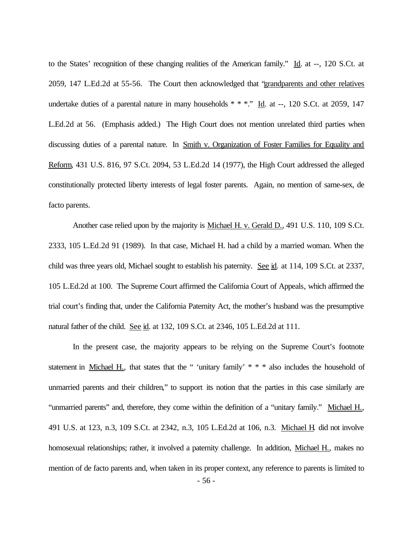to the States' recognition of these changing realities of the American family." Id. at --, 120 S.Ct. at 2059, 147 L.Ed.2d at 55-56. The Court then acknowledged that "grandparents and other relatives undertake duties of a parental nature in many households  $* * *$ ." Id. at --, 120 S.Ct. at 2059, 147 L.Ed.2d at 56. (Emphasis added.) The High Court does not mention unrelated third parties when discussing duties of a parental nature. In Smith v. Organization of Foster Families for Equality and Reform, 431 U.S. 816, 97 S.Ct. 2094, 53 L.Ed.2d 14 (1977), the High Court addressed the alleged constitutionally protected liberty interests of legal foster parents. Again, no mention of same-sex, de facto parents.

Another case relied upon by the majority is Michael H. v. Gerald D., 491 U.S. 110, 109 S.Ct. 2333, 105 L.Ed.2d 91 (1989). In that case, Michael H. had a child by a married woman. When the child was three years old, Michael sought to establish his paternity. See id. at 114, 109 S.Ct. at 2337, 105 L.Ed.2d at 100. The Supreme Court affirmed the California Court of Appeals, which affirmed the trial court's finding that, under the California Paternity Act, the mother's husband was the presumptive natural father of the child. See id. at 132, 109 S.Ct. at 2346, 105 L.Ed.2d at 111.

In the present case, the majority appears to be relying on the Supreme Court's footnote statement in Michael H., that states that the " 'unitary family' \* \* \* also includes the household of unmarried parents and their children," to support its notion that the parties in this case similarly are "unmarried parents" and, therefore, they come within the definition of a "unitary family." Michael H., 491 U.S. at 123, n.3, 109 S.Ct. at 2342, n.3, 105 L.Ed.2d at 106, n.3. Michael H. did not involve homosexual relationships; rather, it involved a paternity challenge. In addition, Michael H., makes no mention of de facto parents and, when taken in its proper context, any reference to parents is limited to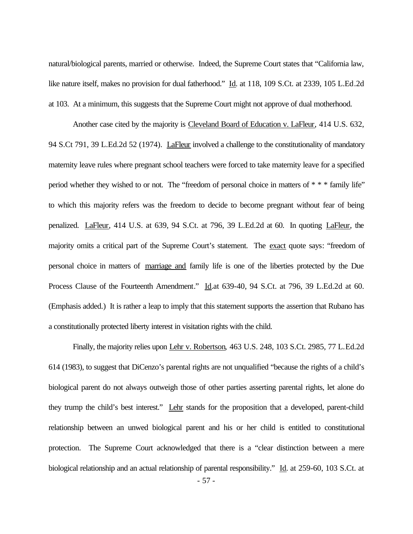natural/biological parents, married or otherwise. Indeed, the Supreme Court states that "California law, like nature itself, makes no provision for dual fatherhood." Id. at 118, 109 S.Ct. at 2339, 105 L.Ed.2d at 103. At a minimum, this suggests that the Supreme Court might not approve of dual motherhood.

Another case cited by the majority is Cleveland Board of Education v. LaFleur, 414 U.S. 632, 94 S.Ct 791, 39 L.Ed.2d 52 (1974). LaFleur involved a challenge to the constitutionality of mandatory maternity leave rules where pregnant school teachers were forced to take maternity leave for a specified period whether they wished to or not. The "freedom of personal choice in matters of \* \* \* family life" to which this majority refers was the freedom to decide to become pregnant without fear of being penalized. LaFleur, 414 U.S. at 639, 94 S.Ct. at 796, 39 L.Ed.2d at 60. In quoting LaFleur, the majority omits a critical part of the Supreme Court's statement. The exact quote says: "freedom of personal choice in matters of marriage and family life is one of the liberties protected by the Due Process Clause of the Fourteenth Amendment." Id.at 639-40, 94 S.Ct. at 796, 39 L.Ed.2d at 60. (Emphasis added.) It is rather a leap to imply that this statement supports the assertion that Rubano has a constitutionally protected liberty interest in visitation rights with the child.

Finally, the majority relies upon Lehr v. Robertson, 463 U.S. 248, 103 S.Ct. 2985, 77 L.Ed.2d 614 (1983), to suggest that DiCenzo's parental rights are not unqualified "because the rights of a child's biological parent do not always outweigh those of other parties asserting parental rights, let alone do they trump the child's best interest." Lehr stands for the proposition that a developed, parent-child relationship between an unwed biological parent and his or her child is entitled to constitutional protection. The Supreme Court acknowledged that there is a "clear distinction between a mere biological relationship and an actual relationship of parental responsibility." Id. at 259-60, 103 S.Ct. at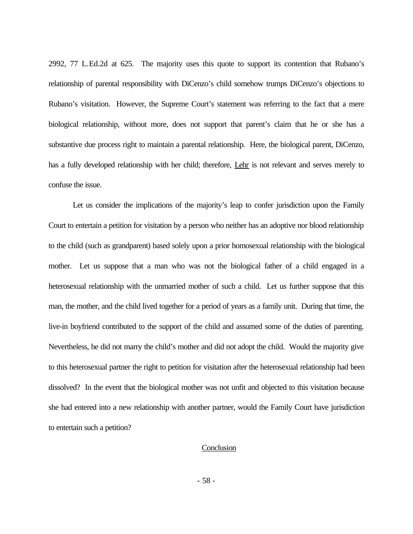2992, 77 L.Ed.2d at 625. The majority uses this quote to support its contention that Rubano's relationship of parental responsibility with DiCenzo's child somehow trumps DiCenzo's objections to Rubano's visitation. However, the Supreme Court's statement was referring to the fact that a mere biological relationship, without more, does not support that parent's claim that he or she has a substantive due process right to maintain a parental relationship. Here, the biological parent, DiCenzo, has a fully developed relationship with her child; therefore, Lehr is not relevant and serves merely to confuse the issue.

Let us consider the implications of the majority's leap to confer jurisdiction upon the Family Court to entertain a petition for visitation by a person who neither has an adoptive nor blood relationship to the child (such as grandparent) based solely upon a prior homosexual relationship with the biological mother. Let us suppose that a man who was not the biological father of a child engaged in a heterosexual relationship with the unmarried mother of such a child. Let us further suppose that this man, the mother, and the child lived together for a period of years as a family unit. During that time, the live-in boyfriend contributed to the support of the child and assumed some of the duties of parenting. Nevertheless, he did not marry the child's mother and did not adopt the child. Would the majority give to this heterosexual partner the right to petition for visitation after the heterosexual relationship had been dissolved? In the event that the biological mother was not unfit and objected to this visitation because she had entered into a new relationship with another partner, would the Family Court have jurisdiction to entertain such a petition?

#### **Conclusion**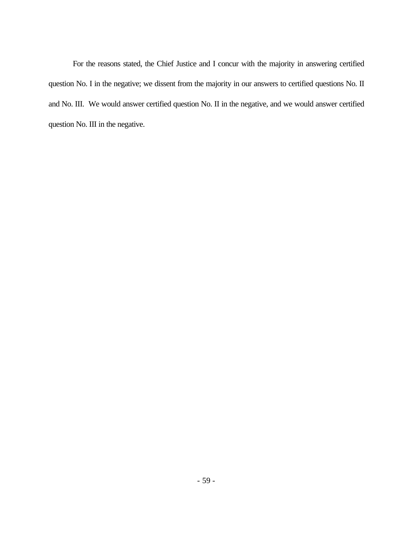For the reasons stated, the Chief Justice and I concur with the majority in answering certified question No. I in the negative; we dissent from the majority in our answers to certified questions No. II and No. III. We would answer certified question No. II in the negative, and we would answer certified question No. III in the negative.